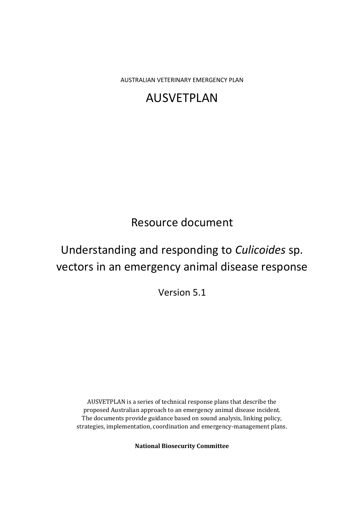AUSTRALIAN VETERINARY EMERGENCY PLAN

# AUSVETPLAN

## Resource document

# Understanding and responding to *Culicoides* sp. vectors in an emergency animal disease response

Version 5.1

AUSVETPLAN is a series of technical response plans that describe the proposed Australian approach to an emergency animal disease incident. The documents provide guidance based on sound analysis, linking policy, strategies, implementation, coordination and emergency-management plans.

**National Biosecurity Committee**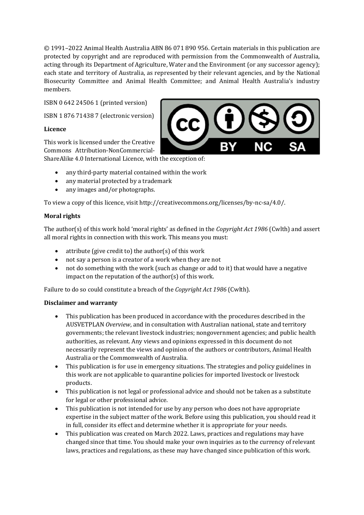© 1991–2022 Animal Health Australia ABN 86 071 890 956. Certain materials in this publication are protected by copyright and are reproduced with permission from the Commonwealth of Australia, acting through its Department of Agriculture, Water and the Environment (or any successor agency); each state and territory of Australia, as represented by their relevant agencies, and by the National Biosecurity Committee and Animal Health Committee; and Animal Health Australia's industry members.

ISBN 0 642 24506 1 (printed version)

ISBN 1 876 71438 7 (electronic version)

#### **Licence**

This work is licensed under the Creative Commons Attribution-NonCommercial-ShareAlike 4.0 International Licence, with the exception of:



- any third-party material contained within the work
- any material protected by a trademark
- any images and/or photographs.

To view a copy of this licence, visit http://creativecommons.org/licenses/by-nc-sa/4.0/.

#### **Moral rights**

The author(s) of this work hold 'moral rights' as defined in the *Copyright Act 1986* (Cwlth) and assert all moral rights in connection with this work. This means you must:

- attribute (give credit to) the author(s) of this work
- not say a person is a creator of a work when they are not
- not do something with the work (such as change or add to it) that would have a negative impact on the reputation of the author(s) of this work.

Failure to do so could constitute a breach of the *Copyright Act 1986* (Cwlth).

#### **Disclaimer and warranty**

- This publication has been produced in accordance with the procedures described in the AUSVETPLAN *Overview*, and in consultation with Australian national, state and territory governments; the relevant livestock industries; nongovernment agencies; and public health authorities, as relevant. Any views and opinions expressed in this document do not necessarily represent the views and opinion of the authors or contributors, Animal Health Australia or the Commonwealth of Australia.
- This publication is for use in emergency situations. The strategies and policy guidelines in this work are not applicable to quarantine policies for imported livestock or livestock products.
- This publication is not legal or professional advice and should not be taken as a substitute for legal or other professional advice.
- This publication is not intended for use by any person who does not have appropriate expertise in the subject matter of the work. Before using this publication, you should read it in full, consider its effect and determine whether it is appropriate for your needs.
- This publication was created on March 2022. Laws, practices and regulations may have changed since that time. You should make your own inquiries as to the currency of relevant laws, practices and regulations, as these may have changed since publication of this work.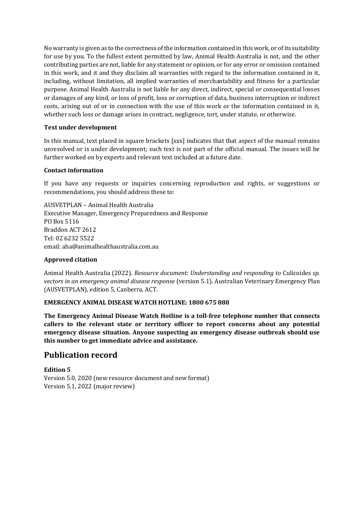No warranty is given as to the correctness of the information contained in this work, or of its suitability for use by you. To the fullest extent permitted by law, Animal Health Australia is not, and the other contributing parties are not, liable for any statement or opinion, or for any error or omission contained in this work, and it and they disclaim all warranties with regard to the information contained in it, including, without limitation, all implied warranties of merchantability and fitness for a particular purpose. Animal Health Australia is not liable for any direct, indirect, special or consequential losses or damages of any kind, or loss of profit, loss or corruption of data, business interruption or indirect costs, arising out of or in connection with the use of this work or the information contained in it, whether such loss or damage arises in contract, negligence, tort, under statute, or otherwise.

#### **Text under development**

In this manual, text placed in square brackets [xxx] indicates that that aspect of the manual remains unresolved or is under development; such text is not part of the official manual. The issues will be further worked on by experts and relevant text included at a future date.

#### **Contact information**

If you have any requests or inquiries concerning reproduction and rights, or suggestions or recommendations, you should address these to:

AUSVETPLAN – Animal Health Australia Executive Manager, Emergency Preparedness and Response PO Box 5116 Braddon ACT 2612 Tel: 02 6232 5522 email: aha@animalhealthaustralia.com.au

#### **Approved citation**

Animal Health Australia (2022). *Resource document*: *Understanding and responding to* Culicoides *sp. vectors in an emergency animal disease response* (version 5.1). Australian Veterinary Emergency Plan (AUSVETPLAN), edition 5, Canberra, ACT.

#### **EMERGENCY ANIMAL DISEASE WATCH HOTLINE: 1800 675 888**

**The Emergency Animal Disease Watch Hotline is a toll-free telephone number that connects callers to the relevant state or territory officer to report concerns about any potential emergency disease situation. Anyone suspecting an emergency disease outbreak should use this number to get immediate advice and assistance.**

#### **Publication record**

**Edition 5** Version 5.0, 2020 (new resource document and new format) Version 5.1, 2022 (major review)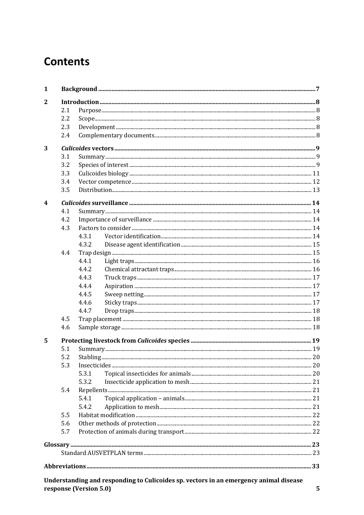# **Contents**

| $\mathbf{2}$            |           |  |
|-------------------------|-----------|--|
| 2.1                     |           |  |
| 2.2                     |           |  |
| 2.3                     |           |  |
| 2.4                     |           |  |
| 3                       |           |  |
| 3.1                     |           |  |
| 3.2                     |           |  |
| 3.3                     |           |  |
| 3.4                     |           |  |
| 3.5                     |           |  |
| $\overline{\mathbf{4}}$ |           |  |
| 4.1                     |           |  |
| 4.2                     |           |  |
| 4.3                     |           |  |
|                         | 4.3.1     |  |
|                         | 4.3.2     |  |
| 4.4                     |           |  |
|                         | 4.4.1     |  |
|                         | 4.4.2     |  |
|                         | 4.4.3     |  |
|                         | 4.4.4     |  |
|                         | 4.4.5     |  |
|                         | 4.4.6     |  |
|                         | 4.4.7     |  |
| 4.5                     |           |  |
| 4.6                     |           |  |
| 5                       |           |  |
| 5.1                     |           |  |
| 5.2                     | Stabling. |  |
| 5.3                     |           |  |
|                         | 5.3.1     |  |
|                         | 5.3.2     |  |
| 5.4                     |           |  |
|                         | 5.4.1     |  |
|                         | 5.4.2     |  |
| 5.5                     |           |  |
| 5.6                     |           |  |
| 5.7                     |           |  |
|                         |           |  |
|                         |           |  |
|                         |           |  |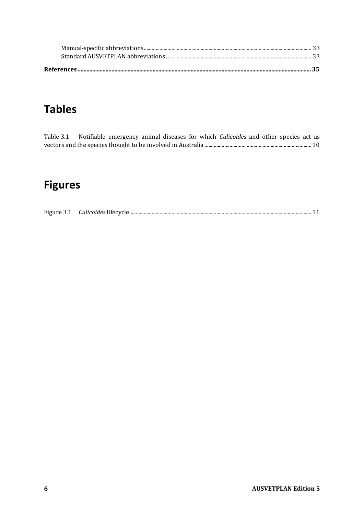# **Tables**

| Table 3.1 Notifiable emergency animal diseases for which <i>Culicoides</i> and other species act as |  |  |  |  |  |  |
|-----------------------------------------------------------------------------------------------------|--|--|--|--|--|--|
|                                                                                                     |  |  |  |  |  |  |

# **Figures**

| Figure 3.1 | $\sim$ $\sim$ 1: $\sim$ 1.1 $\sim$ 1.1 $\sim$ $\sim$ $\sim$ 1.1 $\sim$ |  |
|------------|------------------------------------------------------------------------|--|
|            | <i>auncolaes</i><br>- 111 12                                           |  |
|            |                                                                        |  |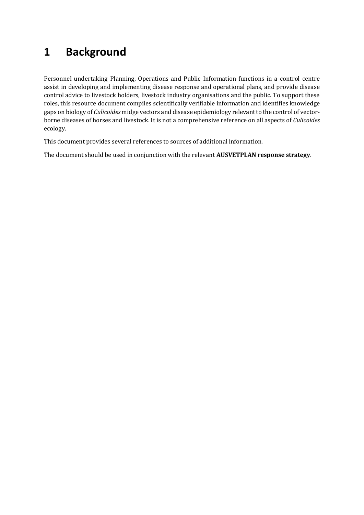# **1 Background**

Personnel undertaking Planning, Operations and Public Information functions in a control centre assist in developing and implementing disease response and operational plans, and provide disease control advice to livestock holders, livestock industry organisations and the public. To support these roles, this resource document compiles scientifically verifiable information and identifies knowledge gaps on biology of *Culicoides* midge vectors and disease epidemiology relevant to the control of vectorborne diseases of horses and livestock. It is not a comprehensive reference on all aspects of *Culicoides* ecology.

This document provides several references to sources of additional information.

The document should be used in conjunction with the relevant **AUSVETPLAN response strategy**.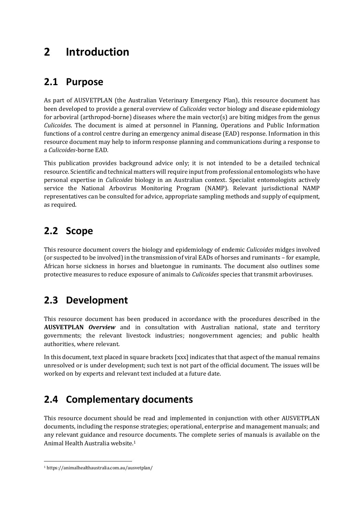## **2 Introduction**

### **2.1 Purpose**

As part of AUSVETPLAN (the Australian Veterinary Emergency Plan), this resource document has been developed to provide a general overview of *Culicoides* vector biology and disease epidemiology for arboviral (arthropod-borne) diseases where the main vector(s) are biting midges from the genus *Culicoides*. The document is aimed at personnel in Planning, Operations and Public Information functions of a control centre during an emergency animal disease (EAD) response. Information in this resource document may help to inform response planning and communications during a response to a *Culicoides*-borne EAD.

This publication provides background advice only; it is not intended to be a detailed technical resource. Scientific and technical matters will require input from professional entomologists who have personal expertise in *Culicoides* biology in an Australian context. Specialist entomologists actively service the National Arbovirus Monitoring Program (NAMP). Relevant jurisdictional NAMP representatives can be consulted for advice, appropriate sampling methods and supply of equipment, as required.

### **2.2 Scope**

This resource document covers the biology and epidemiology of endemic *Culicoides* midges involved (or suspected to be involved) in the transmission of viral EADs of horses and ruminants – for example, African horse sickness in horses and bluetongue in ruminants. The document also outlines some protective measures to reduce exposure of animals to *Culicoides* species that transmit arboviruses.

## **2.3 Development**

This resource document has been produced in accordance with the procedures described in the **AUSVETPLAN** *Overview* and in consultation with Australian national, state and territory governments; the relevant livestock industries; nongovernment agencies; and public health authorities, where relevant.

In this document, text placed in square brackets [xxx] indicates that that aspect of the manual remains unresolved or is under development; such text is not part of the official document. The issues will be worked on by experts and relevant text included at a future date.

## **2.4 Complementary documents**

This resource document should be read and implemented in conjunction with other AUSVETPLAN documents, including the response strategies; operational, enterprise and management manuals; and any relevant guidance and resource documents. The complete series of manuals is available on the Animal Health Australia website. 1

<sup>1</sup> https://animalhealthaustralia.com.au/ausvetplan/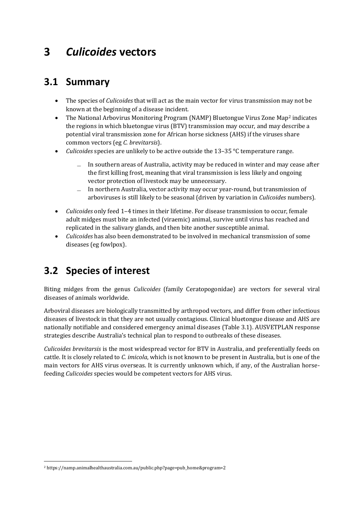## **3** *Culicoides* **vectors**

#### **3.1 Summary**

- The species of *Culicoides* that will act as the main vector for virus transmission may not be known at the beginning of a disease incident.
- The National Arbovirus Monitoring Program (NAMP) Bluetongue Virus Zone Map<sup>2</sup> indicates the regions in which bluetongue virus (BTV) transmission may occur, and may describe a potential viral transmission zone for African horse sickness (AHS) if the viruses share common vectors (eg *C. brevitarsis*).
- *Culicoides* species are unlikely to be active outside the 13–35 °C temperature range.
	- ̶ In southern areas of Australia, activity may be reduced in winter and may cease after the first killing frost, meaning that viral transmission is less likely and ongoing vector protection of livestock may be unnecessary.
	- ̶ In northern Australia, vector activity may occur year-round, but transmission of arboviruses is still likely to be seasonal (driven by variation in *Culicoides* numbers).
- *Culicoides* only feed 1–4 times in their lifetime. For disease transmission to occur, female adult midges must bite an infected (viraemic) animal, survive until virus has reached and replicated in the salivary glands, and then bite another susceptible animal.
- *Culicoides* has also been demonstrated to be involved in mechanical transmission of some diseases (eg fowlpox).

### **3.2 Species of interest**

Biting midges from the genus *Culicoides* (family Ceratopogonidae) are vectors for several viral diseases of animals worldwide.

Arboviral diseases are biologically transmitted by arthropod vectors, and differ from other infectious diseases of livestock in that they are not usually contagious. Clinical bluetongue disease and AHS are nationally notifiable and considered emergency animal diseases (Table 3.1). AUSVETPLAN response strategies describe Australia's technical plan to respond to outbreaks of these diseases.

*Culicoides brevitarsis* is the most widespread vector for BTV in Australia, and preferentially feeds on cattle. It is closely related to *C. imicola*, which is not known to be present in Australia, but is one of the main vectors for AHS virus overseas. It is currently unknown which, if any, of the Australian horsefeeding *Culicoides* species would be competent vectors for AHS virus.

<sup>2</sup> https://namp.animalhealthaustralia.com.au/public.php?page=pub\_home&program=2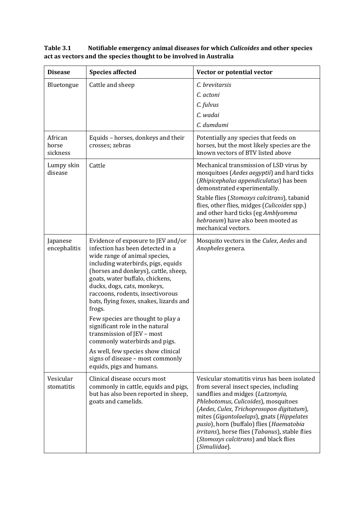| <b>Disease</b>               | <b>Species affected</b>                                                                                                                                                                                                                                                                                                                                                                                                                                                                                                                                                                       | Vector or potential vector                                                                                                                                                                                                                                                                                                                                                                                           |
|------------------------------|-----------------------------------------------------------------------------------------------------------------------------------------------------------------------------------------------------------------------------------------------------------------------------------------------------------------------------------------------------------------------------------------------------------------------------------------------------------------------------------------------------------------------------------------------------------------------------------------------|----------------------------------------------------------------------------------------------------------------------------------------------------------------------------------------------------------------------------------------------------------------------------------------------------------------------------------------------------------------------------------------------------------------------|
| Bluetongue                   | Cattle and sheep                                                                                                                                                                                                                                                                                                                                                                                                                                                                                                                                                                              | C. brevitarsis<br>C. actoni<br>C. fulvus<br>C. wadai<br>C. dumdumi                                                                                                                                                                                                                                                                                                                                                   |
| African<br>horse<br>sickness | Equids - horses, donkeys and their<br>crosses; zebras                                                                                                                                                                                                                                                                                                                                                                                                                                                                                                                                         | Potentially any species that feeds on<br>horses, but the most likely species are the<br>known vectors of BTV listed above                                                                                                                                                                                                                                                                                            |
| Lumpy skin<br>disease        | Cattle                                                                                                                                                                                                                                                                                                                                                                                                                                                                                                                                                                                        | Mechanical transmission of LSD virus by<br>mosquitoes (Aedes aegyptii) and hard ticks<br>(Rhipicephalus appendiculatus) has been<br>demonstrated experimentally.<br>Stable flies (Stomoxys calcitrans), tabanid<br>flies, other flies, midges (Culicoides spp.)<br>and other hard ticks (eg Amblyomma<br>hebraeum) have also been mooted as<br>mechanical vectors.                                                   |
| Japanese<br>encephalitis     | Evidence of exposure to JEV and/or<br>infection has been detected in a<br>wide range of animal species,<br>including waterbirds, pigs, equids<br>(horses and donkeys), cattle, sheep,<br>goats, water buffalo, chickens,<br>ducks, dogs, cats, monkeys,<br>raccoons, rodents, insectivorous<br>bats, flying foxes, snakes, lizards and<br>frogs.<br>Few species are thought to play a<br>significant role in the natural<br>transmission of JEV - most<br>commonly waterbirds and pigs.<br>As well, few species show clinical<br>signs of disease - most commonly<br>equids, pigs and humans. | Mosquito vectors in the Culex, Aedes and<br>Anopheles genera.                                                                                                                                                                                                                                                                                                                                                        |
| Vesicular<br>stomatitis      | Clinical disease occurs most<br>commonly in cattle, equids and pigs,<br>but has also been reported in sheep,<br>goats and camelids.                                                                                                                                                                                                                                                                                                                                                                                                                                                           | Vesicular stomatitis virus has been isolated<br>from several insect species, including<br>sandflies and midges (Lutzomyia,<br>Phlebotomus, Culicoides), mosquitoes<br>(Aedes, Culex, Trichoprosopon digitatum),<br>mites (Gigantolaelaps), gnats (Hippelates<br>pusio), horn (buffalo) flies (Haematobia<br>irritans), horse flies (Tabanus), stable flies<br>(Stomoxys calcitrans) and black flies<br>(Simuliidae). |

<span id="page-9-0"></span>**Table 3.1 Notifiable emergency animal diseases for which** *Culicoides* **and other species act as vectors and the species thought to be involved in Australia**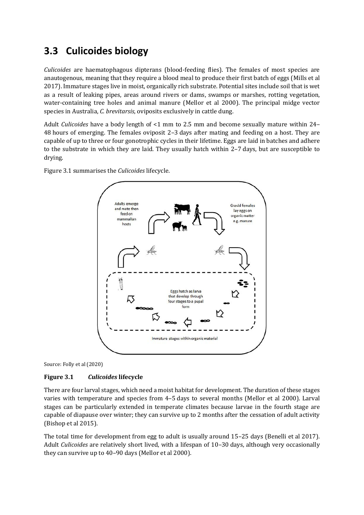### **3.3 Culicoides biology**

*Culicoides* are haematophagous dipterans (blood-feeding flies). The females of most species are anautogenous, meaning that they require a blood meal to produce their first batch of eggs (Mills et al 2017). Immature stages live in moist, organically rich substrate. Potential sites include soil that is wet as a result of leaking pipes, areas around rivers or dams, swamps or marshes, rotting vegetation, water-containing tree holes and animal manure (Mellor et al 2000). The principal midge vector species in Australia, *C. brevitarsis*, oviposits exclusively in cattle dung.

Adult *Culicoides* have a body length of <1 mm to 2.5 mm and become sexually mature within 24– 48 hours of emerging. The females oviposit 2–3 days after mating and feeding on a host. They are capable of up to three or four gonotrophic cycles in their lifetime. Eggs are laid in batches and adhere to the substrate in which they are laid. They usually hatch within 2–7 days, but are susceptible to drying.

Figure 3.1 summarises the *Culicoides* lifecycle.



Source: Folly et al (2020)

#### <span id="page-10-0"></span>**Figure 3.1** *Culicoides* **lifecycle**

There are four larval stages, which need a moist habitat for development. The duration of these stages varies with temperature and species from 4–5 days to several months (Mellor et al 2000). Larval stages can be particularly extended in temperate climates because larvae in the fourth stage are capable of diapause over winter; they can survive up to 2 months after the cessation of adult activity (Bishop et al 2015).

The total time for development from egg to adult is usually around 15–25 days (Benelli et al 2017). Adult *Culicoides* are relatively short lived, with a lifespan of 10–30 days, although very occasionally they can survive up to 40–90 days (Mellor et al 2000).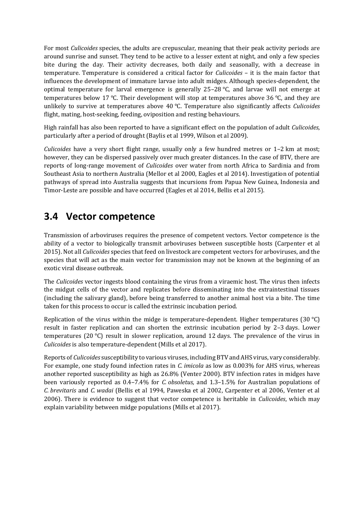For most *Culicoides* species, the adults are crepuscular, meaning that their peak activity periods are around sunrise and sunset. They tend to be active to a lesser extent at night, and only a few species bite during the day. Their activity decreases, both daily and seasonally, with a decrease in temperature. Temperature is considered a critical factor for *Culicoides* – it is the main factor that influences the development of immature larvae into adult midges. Although species-dependent, the optimal temperature for larval emergence is generally 25–28 °C, and larvae will not emerge at temperatures below 17 °C. Their development will stop at temperatures above 36 °C, and they are unlikely to survive at temperatures above 40 °C. Temperature also significantly affects *Culicoides* flight, mating, host-seeking, feeding, oviposition and resting behaviours.

High rainfall has also been reported to have a significant effect on the population of adult *Culicoides*, particularly after a period of drought (Baylis et al 1999, Wilson et al 2009).

*Culicoides* have a very short flight range, usually only a few hundred metres or 1–2 km at most; however, they can be dispersed passively over much greater distances. In the case of BTV, there are reports of long-range movement of *Culicoides* over water from north Africa to Sardinia and from Southeast Asia to northern Australia (Mellor et al 2000, Eagles et al 2014). Investigation of potential pathways of spread into Australia suggests that incursions from Papua New Guinea, Indonesia and Timor-Leste are possible and have occurred (Eagles et al 2014, Bellis et al 2015).

#### **3.4 Vector competence**

Transmission of arboviruses requires the presence of competent vectors. Vector competence is the ability of a vector to biologically transmit arboviruses between susceptible hosts (Carpenter et al 2015). Not all *Culicoides* species that feed on livestock are competent vectors for arboviruses, and the species that will act as the main vector for transmission may not be known at the beginning of an exotic viral disease outbreak.

The *Culicoides* vector ingests blood containing the virus from a viraemic host. The virus then infects the midgut cells of the vector and replicates before disseminating into the extraintestinal tissues (including the salivary gland), before being transferred to another animal host via a bite. The time taken for this process to occur is called the extrinsic incubation period.

Replication of the virus within the midge is temperature-dependent. Higher temperatures (30 °C) result in faster replication and can shorten the extrinsic incubation period by 2–3 days. Lower temperatures (20 $\degree$ C) result in slower replication, around 12 days. The prevalence of the virus in *Culicoides* is also temperature-dependent (Mills et al 2017).

Reports of *Culicoides* susceptibility to various viruses, including BTV and AHS virus, vary considerably. For example, one study found infection rates in *C. imicola* as low as 0.003% for AHS virus, whereas another reported susceptibility as high as 26.8% (Venter 2000). BTV infection rates in midges have been variously reported as 0.4–7.4% for *C. obsoletus,* and 1.3–1.5% for Australian populations of *C. brevitaris* and *C. wadai* (Bellis et al 1994, Paweska et al 2002, Carpenter et al 2006, Venter et al 2006). There is evidence to suggest that vector competence is heritable in *Culicoides*, which may explain variability between midge populations (Mills et al 2017).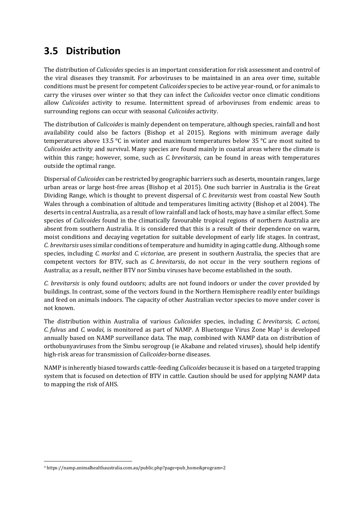## **3.5 Distribution**

The distribution of *Culicoides* species is an important consideration for risk assessment and control of the viral diseases they transmit. For arboviruses to be maintained in an area over time, suitable conditions must be present for competent *Culicoides* species to be active year-round, or for animals to carry the viruses over winter so that they can infect the *Culicoides* vector once climatic conditions allow *Culicoides* activity to resume. Intermittent spread of arboviruses from endemic areas to surrounding regions can occur with seasonal *Culicoides* activity.

The distribution of *Culicoides* is mainly dependent on temperature, although species, rainfall and host availability could also be factors (Bishop et al 2015). Regions with minimum average daily temperatures above 13.5 °C in winter and maximum temperatures below 35 °C are most suited to *Culicoides* activity and survival. Many species are found mainly in coastal areas where the climate is within this range; however, some, such as *C. brevitarsis*, can be found in areas with temperatures outside the optimal range.

Dispersal of *Culicoides* can be restricted by geographic barriers such as deserts, mountain ranges, large urban areas or large host-free areas (Bishop et al 2015). One such barrier in Australia is the Great Dividing Range, which is thought to prevent dispersal of *C. brevitarsis* west from coastal New South Wales through a combination of altitude and temperatures limiting activity (Bishop et al 2004). The deserts in central Australia, as a result of low rainfall and lack of hosts, may have a similar effect. Some species of *Culicoides* found in the climatically favourable tropical regions of northern Australia are absent from southern Australia. It is considered that this is a result of their dependence on warm, moist conditions and decaying vegetation for suitable development of early life stages. In contrast, *C. brevitarsis* uses similar conditions of temperature and humidity in aging cattle dung. Although some species, including *C. marksi* and *C. victoriae*, are present in southern Australia, the species that are competent vectors for BTV, such as *C. brevitarsis*, do not occur in the very southern regions of Australia; as a result, neither BTV nor Simbu viruses have become established in the south.

*C. brevitarsis* is only found outdoors; adults are not found indoors or under the cover provided by buildings. In contrast, some of the vectors found in the Northern Hemisphere readily enter buildings and feed on animals indoors. The capacity of other Australian vector species to move under cover is not known.

The distribution within Australia of various *Culicoides* species, including *C. brevitarsis, C. actoni, C. fulvus* and *C. wadai*, is monitored as part of NAMP. A Bluetongue Virus Zone Map<sup>3</sup> is developed annually based on NAMP surveillance data. The map, combined with NAMP data on distribution of orthobunyaviruses from the Simbu serogroup (ie Akabane and related viruses), should help identify high-risk areas for transmission of *Culicoides-*borne diseases.

NAMP is inherently biased towards cattle-feeding *Culicoides* because it is based on a targeted trapping system that is focused on detection of BTV in cattle. Caution should be used for applying NAMP data to mapping the risk of AHS.

<sup>3</sup> https://namp.animalhealthaustralia.com.au/public.php?page=pub\_home&program=2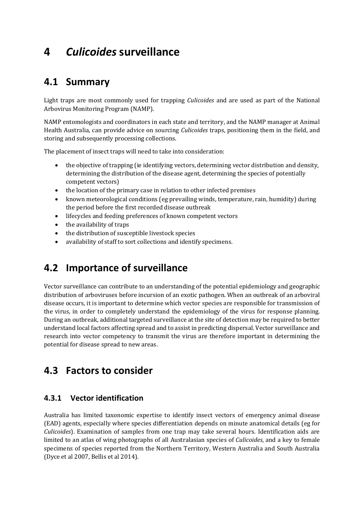## **4** *Culicoides* **surveillance**

#### **4.1 Summary**

Light traps are most commonly used for trapping *Culicoides* and are used as part of the National Arbovirus Monitoring Program (NAMP).

NAMP entomologists and coordinators in each state and territory, and the NAMP manager at Animal Health Australia, can provide advice on sourcing *Culicoides* traps, positioning them in the field, and storing and subsequently processing collections.

The placement of insect traps will need to take into consideration:

- the objective of trapping (ie identifying vectors, determining vector distribution and density, determining the distribution of the disease agent, determining the species of potentially competent vectors)
- the location of the primary case in relation to other infected premises
- known meteorological conditions (eg prevailing winds, temperature, rain, humidity) during the period before the first recorded disease outbreak
- lifecycles and feeding preferences of known competent vectors
- the availability of traps
- the distribution of susceptible livestock species
- availability of staff to sort collections and identify specimens.

#### **4.2 Importance of surveillance**

Vector surveillance can contribute to an understanding of the potential epidemiology and geographic distribution of arboviruses before incursion of an exotic pathogen. When an outbreak of an arboviral disease occurs, it is important to determine which vector species are responsible for transmission of the virus, in order to completely understand the epidemiology of the virus for response planning. During an outbreak, additional targeted surveillance at the site of detection may be required to better understand local factors affecting spread and to assist in predicting dispersal. Vector surveillance and research into vector competency to transmit the virus are therefore important in determining the potential for disease spread to new areas.

#### **4.3 Factors to consider**

#### **4.3.1 Vector identification**

Australia has limited taxonomic expertise to identify insect vectors of emergency animal disease (EAD) agents, especially where species differentiation depends on minute anatomical details (eg for *Culicoides*). Examination of samples from one trap may take several hours. Identification aids are limited to an atlas of wing photographs of all Australasian species of *Culicoides*, and a key to female specimens of species reported from the Northern Territory, Western Australia and South Australia (Dyce et al 2007, Bellis et al 2014).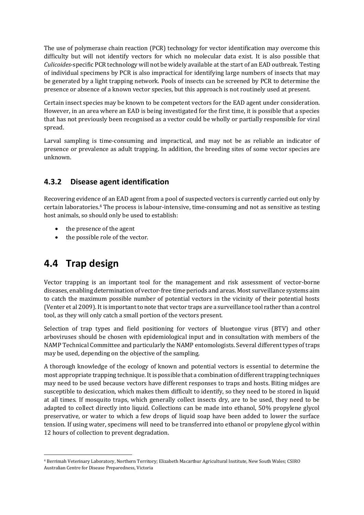The use of polymerase chain reaction (PCR) technology for vector identification may overcome this difficulty but will not identify vectors for which no molecular data exist. It is also possible that *Culicoides*-specific PCR technology will not be widely available at the start of an EAD outbreak. Testing of individual specimens by PCR is also impractical for identifying large numbers of insects that may be generated by a light trapping network. Pools of insects can be screened by PCR to determine the presence or absence of a known vector species, but this approach is not routinely used at present.

Certain insect species may be known to be competent vectors for the EAD agent under consideration. However, in an area where an EAD is being investigated for the first time, it is possible that a species that has not previously been recognised as a vector could be wholly or partially responsible for viral spread.

Larval sampling is time-consuming and impractical, and may not be as reliable an indicator of presence or prevalence as adult trapping. In addition, the breeding sites of some vector species are unknown.

#### **4.3.2 Disease agent identification**

Recovering evidence of an EAD agent from a pool of suspected vectors is currently carried out only by certain laboratories.<sup>4</sup> The process is labour-intensive, time-consuming and not as sensitive as testing host animals, so should only be used to establish:

- the presence of the agent
- the possible role of the vector.

### **4.4 Trap design**

Vector trapping is an important tool for the management and risk assessment of vector-borne diseases, enabling determination of vector-free time periods and areas. Most surveillance systems aim to catch the maximum possible number of potential vectors in the vicinity of their potential hosts (Venter et al 2009). It is important to note that vector traps are a surveillance tool rather than a control tool, as they will only catch a small portion of the vectors present.

Selection of trap types and field positioning for vectors of bluetongue virus (BTV) and other arboviruses should be chosen with epidemiological input and in consultation with members of the NAMP Technical Committee and particularly the NAMP entomologists. Several different types of traps may be used, depending on the objective of the sampling.

A thorough knowledge of the ecology of known and potential vectors is essential to determine the most appropriate trapping technique. It is possible that a combination of different trapping techniques may need to be used because vectors have different responses to traps and hosts. Biting midges are susceptible to desiccation, which makes them difficult to identify, so they need to be stored in liquid at all times. If mosquito traps, which generally collect insects dry, are to be used, they need to be adapted to collect directly into liquid. Collections can be made into ethanol, 50% propylene glycol preservative, or water to which a few drops of liquid soap have been added to lower the surface tension. If using water, specimens will need to be transferred into ethanol or propylene glycol within 12 hours of collection to prevent degradation.

<sup>4</sup> Berrimah Veterinary Laboratory, Northern Territory; Elizabeth Macarthur Agricultural Institute, New South Wales; CSIRO Australian Centre for Disease Preparedness, Victoria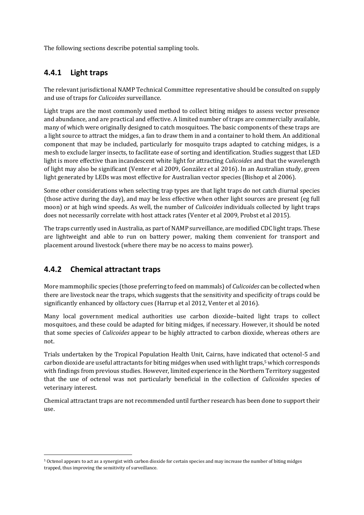The following sections describe potential sampling tools.

#### **4.4.1 Light traps**

The relevant jurisdictional NAMP Technical Committee representative should be consulted on supply and use of traps for *Culicoides* surveillance.

Light traps are the most commonly used method to collect biting midges to assess vector presence and abundance, and are practical and effective. A limited number of traps are commercially available, many of which were originally designed to catch mosquitoes. The basic components of these traps are a light source to attract the midges, a fan to draw them in and a container to hold them. An additional component that may be included, particularly for mosquito traps adapted to catching midges, is a mesh to exclude larger insects, to facilitate ease of sorting and identification. Studies suggest that LED light is more effective than incandescent white light for attracting *Culicoides* and that the wavelength of light may also be significant (Venter et al 2009, González et al 2016). In an Australian study, green light generated by LEDs was most effective for Australian vector species (Bishop et al 2006).

Some other considerations when selecting trap types are that light traps do not catch diurnal species (those active during the day), and may be less effective when other light sources are present (eg full moon) or at high wind speeds. As well, the number of *Culicoides* individuals collected by light traps does not necessarily correlate with host attack rates (Venter et al 2009, Probst et al 2015).

The traps currently used in Australia, as part of NAMP surveillance, are modified CDC light traps. These are lightweight and able to run on battery power, making them convenient for transport and placement around livestock (where there may be no access to mains power).

#### **4.4.2 Chemical attractant traps**

More mammophilic species (those preferring to feed on mammals) of *Culicoides* can be collected when there are livestock near the traps, which suggests that the sensitivity and specificity of traps could be significantly enhanced by olfactory cues (Harrup et al 2012, Venter et al 2016).

Many local government medical authorities use carbon dioxide–baited light traps to collect mosquitoes, and these could be adapted for biting midges, if necessary. However, it should be noted that some species of *Culicoides* appear to be highly attracted to carbon dioxide, whereas others are not.

Trials undertaken by the Tropical Population Health Unit, Cairns, have indicated that octenol-5 and carbon dioxide are useful attractants for biting midges when used with light traps,<sup>5</sup> which corresponds with findings from previous studies. However, limited experience in the Northern Territory suggested that the use of octenol was not particularly beneficial in the collection of *Culicoides* species of veterinary interest.

Chemical attractant traps are not recommended until further research has been done to support their use.

<sup>5</sup> Octenol appears to act as a synergist with carbon dioxide for certain species and may increase the number of biting midges trapped, thus improving the sensitivity of surveillance.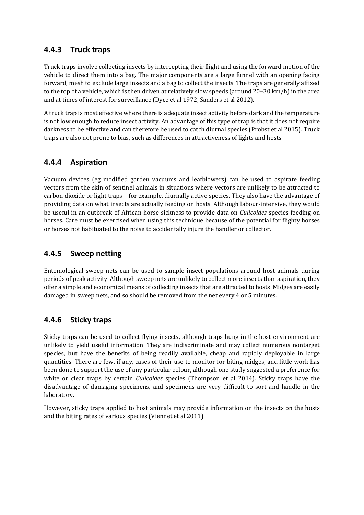#### **4.4.3 Truck traps**

Truck traps involve collecting insects by intercepting their flight and using the forward motion of the vehicle to direct them into a bag. The major components are a large funnel with an opening facing forward, mesh to exclude large insects and a bag to collect the insects. The traps are generally affixed to the top of a vehicle, which is then driven at relatively slow speeds (around 20–30 km/h) in the area and at times of interest for surveillance (Dyce et al 1972, Sanders et al 2012).

A truck trap is most effective where there is adequate insect activity before dark and the temperature is not low enough to reduce insect activity. An advantage of this type of trap is that it does not require darkness to be effective and can therefore be used to catch diurnal species (Probst et al 2015). Truck traps are also not prone to bias, such as differences in attractiveness of lights and hosts.

#### **4.4.4 Aspiration**

Vacuum devices (eg modified garden vacuums and leafblowers) can be used to aspirate feeding vectors from the skin of sentinel animals in situations where vectors are unlikely to be attracted to carbon dioxide or light traps – for example, diurnally active species. They also have the advantage of providing data on what insects are actually feeding on hosts. Although labour-intensive, they would be useful in an outbreak of African horse sickness to provide data on *Culicoides* species feeding on horses. Care must be exercised when using this technique because of the potential for flighty horses or horses not habituated to the noise to accidentally injure the handler or collector.

#### **4.4.5 Sweep netting**

Entomological sweep nets can be used to sample insect populations around host animals during periods of peak activity. Although sweep nets are unlikely to collect more insects than aspiration, they offer a simple and economical means of collecting insects that are attracted to hosts. Midges are easily damaged in sweep nets, and so should be removed from the net every 4 or 5 minutes.

#### **4.4.6 Sticky traps**

Sticky traps can be used to collect flying insects, although traps hung in the host environment are unlikely to yield useful information. They are indiscriminate and may collect numerous nontarget species, but have the benefits of being readily available, cheap and rapidly deployable in large quantities. There are few, if any, cases of their use to monitor for biting midges, and little work has been done to support the use of any particular colour, although one study suggested a preference for white or clear traps by certain *Culicoides* species (Thompson et al 2014). Sticky traps have the disadvantage of damaging specimens, and specimens are very difficult to sort and handle in the laboratory.

However, sticky traps applied to host animals may provide information on the insects on the hosts and the biting rates of various species (Viennet et al 2011).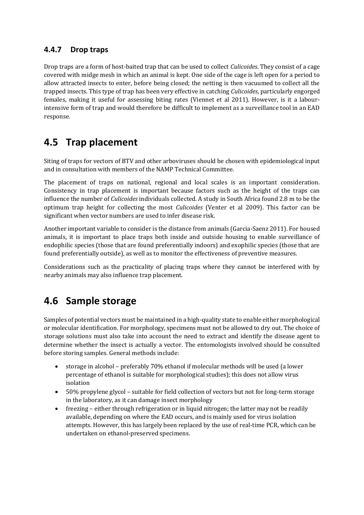#### **4.4.7 Drop traps**

Drop traps are a form of host-baited trap that can be used to collect *Culicoides*. They consist of a cage covered with midge mesh in which an animal is kept. One side of the cage is left open for a period to allow attracted insects to enter, before being closed; the netting is then vacuumed to collect all the trapped insects. This type of trap has been very effective in catching *Culicoides*, particularly engorged females, making it useful for assessing biting rates (Viennet et al 2011). However, is it a labourintensive form of trap and would therefore be difficult to implement as a surveillance tool in an EAD response.

### **4.5 Trap placement**

Siting of traps for vectors of BTV and other arboviruses should be chosen with epidemiological input and in consultation with members of the NAMP Technical Committee.

The placement of traps on national, regional and local scales is an important consideration. Consistency in trap placement is important because factors such as the height of the traps can influence the number of *Culicoides* individuals collected. A study in South Africa found 2.8 m to be the optimum trap height for collecting the most *Culicoides* (Venter et al 2009). This factor can be significant when vector numbers are used to infer disease risk.

Another important variable to consider is the distance from animals (Garcia-Saenz 2011). For housed animals, it is important to place traps both inside and outside housing to enable surveillance of endophilic species (those that are found preferentially indoors) and exophilic species (those that are found preferentially outside), as well as to monitor the effectiveness of preventive measures.

Considerations such as the practicality of placing traps where they cannot be interfered with by nearby animals may also influence trap placement.

### **4.6 Sample storage**

Samples of potential vectors must be maintained in a high-quality state to enable either morphological or molecular identification. For morphology, specimens must not be allowed to dry out. The choice of storage solutions must also take into account the need to extract and identify the disease agent to determine whether the insect is actually a vector. The entomologists involved should be consulted before storing samples. General methods include:

- storage in alcohol preferably 70% ethanol if molecular methods will be used (a lower percentage of ethanol is suitable for morphological studies); this does not allow virus isolation
- 50% propylene glycol suitable for field collection of vectors but not for long-term storage in the laboratory, as it can damage insect morphology
- freezing either through refrigeration or in liquid nitrogen; the latter may not be readily available, depending on where the EAD occurs, and is mainly used for virus isolation attempts. However, this has largely been replaced by the use of real-time PCR, which can be undertaken on ethanol-preserved specimens.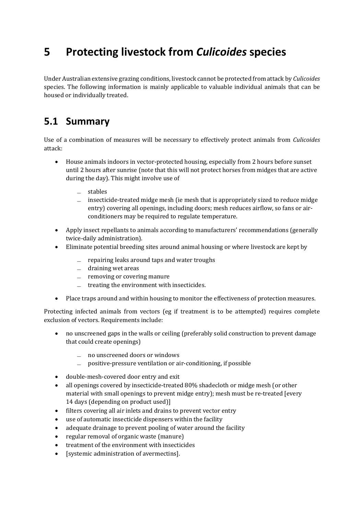# **5 Protecting livestock from** *Culicoides* **species**

Under Australian extensive grazing conditions, livestock cannot be protected from attack by *Culicoides* species. The following information is mainly applicable to valuable individual animals that can be housed or individually treated.

### **5.1 Summary**

Use of a combination of measures will be necessary to effectively protect animals from *Culicoides* attack:

- House animals indoors in vector-protected housing, especially from 2 hours before sunset until 2 hours after sunrise (note that this will not protect horses from midges that are active during the day). This might involve use of
	- ̶ stables
	- $\equiv$  insecticide-treated midge mesh (ie mesh that is appropriately sized to reduce midge entry) covering all openings, including doors; mesh reduces airflow, so fans or airconditioners may be required to regulate temperature.
- Apply insect repellants to animals according to manufacturers' recommendations (generally twice-daily administration).
- Eliminate potential breeding sites around animal housing or where livestock are kept by
	- ̶ repairing leaks around taps and water troughs
	- $-$  draining wet areas
	- ̶ removing or covering manure
	- $=$  treating the environment with insecticides.
- Place traps around and within housing to monitor the effectiveness of protection measures.

Protecting infected animals from vectors (eg if treatment is to be attempted) requires complete exclusion of vectors. Requirements include:

- no unscreened gaps in the walls or ceiling (preferably solid construction to prevent damage that could create openings)
	- ̶ no unscreened doors or windows
	- ̶ positive-pressure ventilation or air-conditioning, if possible
- double-mesh-covered door entry and exit
- all openings covered by insecticide-treated 80% shadecloth or midge mesh (or other material with small openings to prevent midge entry); mesh must be re-treated [every 14 days (depending on product used)]
- filters covering all air inlets and drains to prevent vector entry
- use of automatic insecticide dispensers within the facility
- adequate drainage to prevent pooling of water around the facility
- regular removal of organic waste (manure)
- treatment of the environment with insecticides
- [systemic administration of avermectins].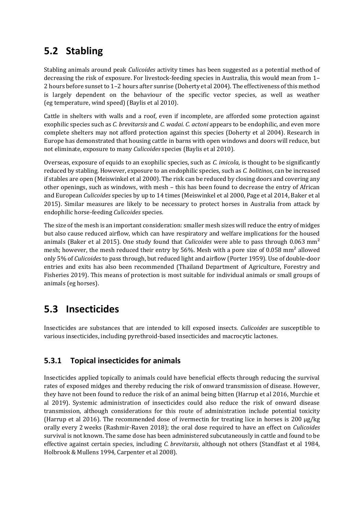## **5.2 Stabling**

Stabling animals around peak *Culicoides* activity times has been suggested as a potential method of decreasing the risk of exposure. For livestock-feeding species in Australia, this would mean from 1– 2 hours before sunset to 1–2 hours after sunrise (Doherty et al 2004). The effectiveness of this method is largely dependent on the behaviour of the specific vector species, as well as weather (eg temperature, wind speed) (Baylis et al 2010).

Cattle in shelters with walls and a roof, even if incomplete, are afforded some protection against exophilic species such as *C. brevitarsis* and *C. wadai. C. actoni* appears to be endophilic, and even more complete shelters may not afford protection against this species (Doherty et al 2004). Research in Europe has demonstrated that housing cattle in barns with open windows and doors will reduce, but not eliminate, exposure to many *Culicoides* species (Baylis et al 2010).

Overseas, exposure of equids to an exophilic species, such as *C. imicola*, is thought to be significantly reduced by stabling. However, exposure to an endophilic species, such as *C. bolitinos*, can be increased if stables are open (Meiswinkel et al 2000). The risk can be reduced by closing doors and covering any other openings, such as windows, with mesh – this has been found to decrease the entry of African and European *Culicoides* species by up to 14 times (Meiswinkel et al 2000, Page et al 2014, Baker et al 2015). Similar measures are likely to be necessary to protect horses in Australia from attack by endophilic horse-feeding *Culicoides* species.

The size of the mesh is an important consideration: smaller mesh sizes will reduce the entry of midges but also cause reduced airflow, which can have respiratory and welfare implications for the housed animals (Baker et al 2015). One study found that *Culicoides* were able to pass through 0.063 mm² mesh; however, the mesh reduced their entry by 56%. Mesh with a pore size of 0.058 mm² allowed only 5% of *Culicoides* to pass through, but reduced light and airflow (Porter 1959). Use of double-door entries and exits has also been recommended (Thailand Department of Agriculture, Forestry and Fisheries 2019). This means of protection is most suitable for individual animals or small groups of animals (eg horses).

### **5.3 Insecticides**

Insecticides are substances that are intended to kill exposed insects*. Culicoides* are susceptible to various insecticides, including pyrethroid-based insecticides and macrocytic lactones.

#### **5.3.1 Topical insecticides for animals**

Insecticides applied topically to animals could have beneficial effects through reducing the survival rates of exposed midges and thereby reducing the risk of onward transmission of disease. However, they have not been found to reduce the risk of an animal being bitten (Harrup et al 2016, Murchie et al 2019). Systemic administration of insecticides could also reduce the risk of onward disease transmission, although considerations for this route of administration include potential toxicity (Harrup et al 2016). The recommended dose of ivermectin for treating lice in horses is 200  $\mu$ g/kg orally every 2 weeks (Rashmir-Raven 2018); the oral dose required to have an effect on *Culicoides* survival is not known. The same dose has been administered subcutaneously in cattle and found to be effective against certain species, including *C. brevitarsis*, although not others (Standfast et al 1984, Holbrook & Mullens 1994, Carpenter et al 2008).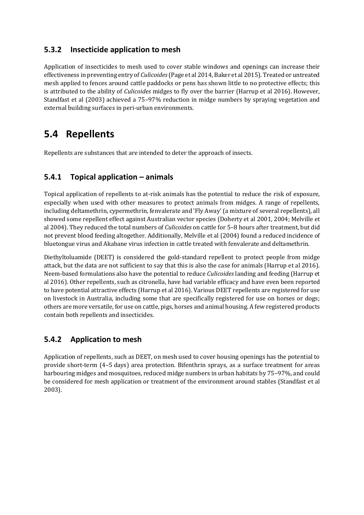#### **5.3.2 Insecticide application to mesh**

Application of insecticides to mesh used to cover stable windows and openings can increase their effectiveness in preventing entry of *Culicoides*(Page et al 2014, Baker et al 2015). Treated or untreated mesh applied to fences around cattle paddocks or pens has shown little to no protective effects; this is attributed to the ability of *Culicoides* midges to fly over the barrier (Harrup et al 2016). However, Standfast et al (2003) achieved a 75–97% reduction in midge numbers by spraying vegetation and external building surfaces in peri-urban environments.

### **5.4 Repellents**

Repellents are substances that are intended to deter the approach of insects.

#### **5.4.1 Topical application – animals**

Topical application of repellents to at-risk animals has the potential to reduce the risk of exposure, especially when used with other measures to protect animals from midges. A range of repellents, including deltamethrin, cypermethrin, fenvalerate and 'Fly Away' (a mixture of several repellents), all showed some repellent effect against Australian vector species (Doherty et al 2001, 2004; Melville et al 2004). They reduced the total numbers of *Culicoides* on cattle for 5–8 hours after treatment, but did not prevent blood feeding altogether. Additionally, Melville et al (2004) found a reduced incidence of bluetongue virus and Akabane virus infection in cattle treated with fenvalerate and deltamethrin.

Diethyltoluamide (DEET) is considered the gold-standard repellent to protect people from midge attack, but the data are not sufficient to say that this is also the case for animals (Harrup et al 2016). Neem-based formulations also have the potential to reduce *Culicoides* landing and feeding (Harrup et al 2016). Other repellents, such as citronella, have had variable efficacy and have even been reported to have potential attractive effects (Harrup et al 2016). Various DEET repellents are registered for use on livestock in Australia, including some that are specifically registered for use on horses or dogs; others are more versatile, for use on cattle, pigs, horses and animal housing. A few registered products contain both repellents and insecticides.

#### **5.4.2 Application to mesh**

Application of repellents, such as DEET, on mesh used to cover housing openings has the potential to provide short-term (4–5 days) area protection. Bifenthrin sprays, as a surface treatment for areas harbouring midges and mosquitoes, reduced midge numbers in urban habitats by 75–97%, and could be considered for mesh application or treatment of the environment around stables (Standfast et al 2003).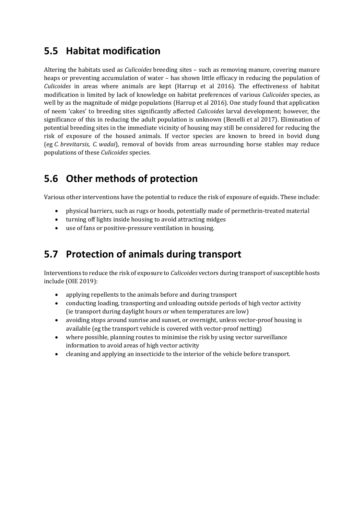### **5.5 Habitat modification**

Altering the habitats used as *Culicoides* breeding sites – such as removing manure, covering manure heaps or preventing accumulation of water – has shown little efficacy in reducing the population of *Culicoides* in areas where animals are kept (Harrup et al 2016). The effectiveness of habitat modification is limited by lack of knowledge on habitat preferences of various *Culicoides* species, as well by as the magnitude of midge populations (Harrup et al 2016). One study found that application of neem 'cakes' to breeding sites significantly affected *Culicoides* larval development; however, the significance of this in reducing the adult population is unknown (Benelli et al 2017). Elimination of potential breeding sites in the immediate vicinity of housing may still be considered for reducing the risk of exposure of the housed animals. If vector species are known to breed in bovid dung (eg *C. brevitarsis, C. wadai*), removal of bovids from areas surrounding horse stables may reduce populations of these *Culicoides* species.

## **5.6 Other methods of protection**

Various other interventions have the potential to reduce the risk of exposure of equids. These include:

- physical barriers, such as rugs or hoods, potentially made of permethrin-treated material
- turning off lights inside housing to avoid attracting midges
- use of fans or positive-pressure ventilation in housing.

### **5.7 Protection of animals during transport**

Interventions to reduce the risk of exposure to *Culicoides* vectors during transport of susceptible hosts include (OIE 2019):

- applying repellents to the animals before and during transport
- conducting loading, transporting and unloading outside periods of high vector activity (ie transport during daylight hours or when temperatures are low)
- avoiding stops around sunrise and sunset, or overnight, unless vector-proof housing is available (eg the transport vehicle is covered with vector-proof netting)
- where possible, planning routes to minimise the risk by using vector surveillance information to avoid areas of high vector activity
- cleaning and applying an insecticide to the interior of the vehicle before transport.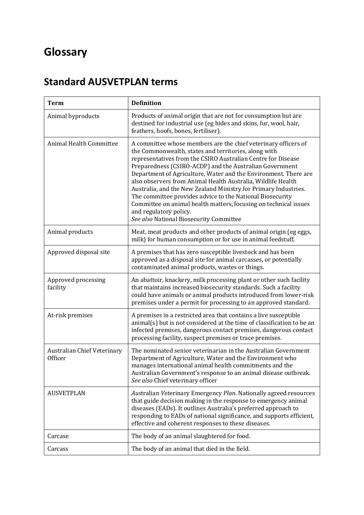# **Glossary**

# **Standard AUSVETPLAN terms**

| <b>Term</b>                            | <b>Definition</b>                                                                                                                                                                                                                                                                                                                                                                                                                                                                                                                                                                                                                                             |
|----------------------------------------|---------------------------------------------------------------------------------------------------------------------------------------------------------------------------------------------------------------------------------------------------------------------------------------------------------------------------------------------------------------------------------------------------------------------------------------------------------------------------------------------------------------------------------------------------------------------------------------------------------------------------------------------------------------|
| Animal byproducts                      | Products of animal origin that are not for consumption but are<br>destined for industrial use (eg hides and skins, fur, wool, hair,<br>feathers, hoofs, bones, fertiliser).                                                                                                                                                                                                                                                                                                                                                                                                                                                                                   |
| <b>Animal Health Committee</b>         | A committee whose members are the chief veterinary officers of<br>the Commonwealth, states and territories, along with<br>representatives from the CSIRO Australian Centre for Disease<br>Preparedness (CSIRO-ACDP) and the Australian Government<br>Department of Agriculture, Water and the Environment. There are<br>also observers from Animal Health Australia, Wildlife Health<br>Australia, and the New Zealand Ministry for Primary Industries.<br>The committee provides advice to the National Biosecurity<br>Committee on animal health matters, focusing on technical issues<br>and regulatory policy.<br>See also National Biosecurity Committee |
| Animal products                        | Meat, meat products and other products of animal origin (eg eggs,<br>milk) for human consumption or for use in animal feedstuff.                                                                                                                                                                                                                                                                                                                                                                                                                                                                                                                              |
| Approved disposal site                 | A premises that has zero susceptible livestock and has been<br>approved as a disposal site for animal carcasses, or potentially<br>contaminated animal products, wastes or things.                                                                                                                                                                                                                                                                                                                                                                                                                                                                            |
| Approved processing<br>facility        | An abattoir, knackery, milk processing plant or other such facility<br>that maintains increased biosecurity standards. Such a facility<br>could have animals or animal products introduced from lower-risk<br>premises under a permit for processing to an approved standard.                                                                                                                                                                                                                                                                                                                                                                                 |
| At-risk premises                       | A premises in a restricted area that contains a live susceptible<br>animal(s) but is not considered at the time of classification to be an<br>infected premises, dangerous contact premises, dangerous contact<br>processing facility, suspect premises or trace premises.                                                                                                                                                                                                                                                                                                                                                                                    |
| Australian Chief Veterinary<br>Officer | The nominated senior veterinarian in the Australian Government<br>Department of Agriculture, Water and the Environment who<br>manages international animal health commitments and the<br>Australian Government's response to an animal disease outbreak.<br>See also Chief veterinary officer                                                                                                                                                                                                                                                                                                                                                                 |
| <b>AUSVETPLAN</b>                      | Australian Veterinary Emergency Plan. Nationally agreed resources<br>that guide decision making in the response to emergency animal<br>diseases (EADs). It outlines Australia's preferred approach to<br>responding to EADs of national significance, and supports efficient,<br>effective and coherent responses to these diseases.                                                                                                                                                                                                                                                                                                                          |
| Carcase                                | The body of an animal slaughtered for food.                                                                                                                                                                                                                                                                                                                                                                                                                                                                                                                                                                                                                   |
| Carcass                                | The body of an animal that died in the field.                                                                                                                                                                                                                                                                                                                                                                                                                                                                                                                                                                                                                 |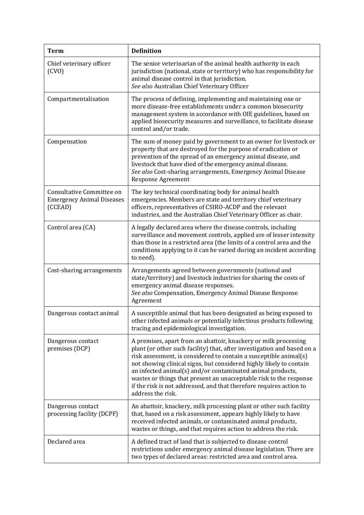| <b>Term</b>                                                              | <b>Definition</b>                                                                                                                                                                                                                                                                                                                                                                                                                                                                                                      |
|--------------------------------------------------------------------------|------------------------------------------------------------------------------------------------------------------------------------------------------------------------------------------------------------------------------------------------------------------------------------------------------------------------------------------------------------------------------------------------------------------------------------------------------------------------------------------------------------------------|
| Chief veterinary officer<br>(CVO)                                        | The senior veterinarian of the animal health authority in each<br>jurisdiction (national, state or territory) who has responsibility for<br>animal disease control in that jurisdiction.<br>See also Australian Chief Veterinary Officer                                                                                                                                                                                                                                                                               |
| Compartmentalisation                                                     | The process of defining, implementing and maintaining one or<br>more disease-free establishments under a common biosecurity<br>management system in accordance with OIE guidelines, based on<br>applied biosecurity measures and surveillance, to facilitate disease<br>control and/or trade.                                                                                                                                                                                                                          |
| Compensation                                                             | The sum of money paid by government to an owner for livestock or<br>property that are destroyed for the purpose of eradication or<br>prevention of the spread of an emergency animal disease, and<br>livestock that have died of the emergency animal disease.<br>See also Cost-sharing arrangements, Emergency Animal Disease<br><b>Response Agreement</b>                                                                                                                                                            |
| Consultative Committee on<br><b>Emergency Animal Diseases</b><br>(CCEAD) | The key technical coordinating body for animal health<br>emergencies. Members are state and territory chief veterinary<br>officers, representatives of CSIRO-ACDP and the relevant<br>industries, and the Australian Chief Veterinary Officer as chair.                                                                                                                                                                                                                                                                |
| Control area (CA)                                                        | A legally declared area where the disease controls, including<br>surveillance and movement controls, applied are of lesser intensity<br>than those in a restricted area (the limits of a control area and the<br>conditions applying to it can be varied during an incident according<br>to need).                                                                                                                                                                                                                     |
| Cost-sharing arrangements                                                | Arrangements agreed between governments (national and<br>state/territory) and livestock industries for sharing the costs of<br>emergency animal disease responses.<br>See also Compensation, Emergency Animal Disease Response<br>Agreement                                                                                                                                                                                                                                                                            |
| Dangerous contact animal                                                 | A susceptible animal that has been designated as being exposed to<br>other infected animals or potentially infectious products following<br>tracing and epidemiological investigation.                                                                                                                                                                                                                                                                                                                                 |
| Dangerous contact<br>premises (DCP)                                      | A premises, apart from an abattoir, knackery or milk processing<br>plant (or other such facility) that, after investigation and based on a<br>risk assessment, is considered to contain a susceptible animal(s)<br>not showing clinical signs, but considered highly likely to contain<br>an infected animal(s) and/or contaminated animal products,<br>wastes or things that present an unacceptable risk to the response<br>if the risk is not addressed, and that therefore requires action to<br>address the risk. |
| Dangerous contact<br>processing facility (DCPF)                          | An abattoir, knackery, milk processing plant or other such facility<br>that, based on a risk assessment, appears highly likely to have<br>received infected animals, or contaminated animal products,<br>wastes or things, and that requires action to address the risk.                                                                                                                                                                                                                                               |
| Declared area                                                            | A defined tract of land that is subjected to disease control<br>restrictions under emergency animal disease legislation. There are<br>two types of declared areas: restricted area and control area.                                                                                                                                                                                                                                                                                                                   |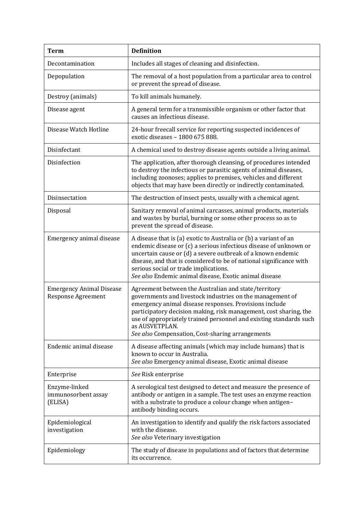| Term                                                         | <b>Definition</b>                                                                                                                                                                                                                                                                                                                                                                            |  |  |  |
|--------------------------------------------------------------|----------------------------------------------------------------------------------------------------------------------------------------------------------------------------------------------------------------------------------------------------------------------------------------------------------------------------------------------------------------------------------------------|--|--|--|
| Decontamination                                              | Includes all stages of cleaning and disinfection.                                                                                                                                                                                                                                                                                                                                            |  |  |  |
| Depopulation                                                 | The removal of a host population from a particular area to control<br>or prevent the spread of disease.                                                                                                                                                                                                                                                                                      |  |  |  |
| Destroy (animals)                                            | To kill animals humanely.                                                                                                                                                                                                                                                                                                                                                                    |  |  |  |
| Disease agent                                                | A general term for a transmissible organism or other factor that<br>causes an infectious disease.                                                                                                                                                                                                                                                                                            |  |  |  |
| Disease Watch Hotline                                        | 24-hour freecall service for reporting suspected incidences of<br>exotic diseases - 1800 675 888.                                                                                                                                                                                                                                                                                            |  |  |  |
| Disinfectant                                                 | A chemical used to destroy disease agents outside a living animal.                                                                                                                                                                                                                                                                                                                           |  |  |  |
| Disinfection                                                 | The application, after thorough cleansing, of procedures intended<br>to destroy the infectious or parasitic agents of animal diseases,<br>including zoonoses; applies to premises, vehicles and different<br>objects that may have been directly or indirectly contaminated.                                                                                                                 |  |  |  |
| Disinsectation                                               | The destruction of insect pests, usually with a chemical agent.                                                                                                                                                                                                                                                                                                                              |  |  |  |
| Disposal                                                     | Sanitary removal of animal carcasses, animal products, materials<br>and wastes by burial, burning or some other process so as to<br>prevent the spread of disease.                                                                                                                                                                                                                           |  |  |  |
| Emergency animal disease                                     | A disease that is (a) exotic to Australia or (b) a variant of an<br>endemic disease or (c) a serious infectious disease of unknown or<br>uncertain cause or (d) a severe outbreak of a known endemic<br>disease, and that is considered to be of national significance with<br>serious social or trade implications.<br>See also Endemic animal disease, Exotic animal disease               |  |  |  |
| <b>Emergency Animal Disease</b><br><b>Response Agreement</b> | Agreement between the Australian and state/territory<br>governments and livestock industries on the management of<br>emergency animal disease responses. Provisions include<br>participatory decision making, risk management, cost sharing, the<br>use of appropriately trained personnel and existing standards such<br>as AUSVETPLAN.<br>See also Compensation, Cost-sharing arrangements |  |  |  |
| Endemic animal disease                                       | A disease affecting animals (which may include humans) that is<br>known to occur in Australia.<br>See also Emergency animal disease, Exotic animal disease                                                                                                                                                                                                                                   |  |  |  |
| Enterprise                                                   | See Risk enterprise                                                                                                                                                                                                                                                                                                                                                                          |  |  |  |
| Enzyme-linked<br>immunosorbent assay<br>(ELISA)              | A serological test designed to detect and measure the presence of<br>antibody or antigen in a sample. The test uses an enzyme reaction<br>with a substrate to produce a colour change when antigen-<br>antibody binding occurs.                                                                                                                                                              |  |  |  |
| Epidemiological<br>investigation                             | An investigation to identify and qualify the risk factors associated<br>with the disease.<br>See also Veterinary investigation                                                                                                                                                                                                                                                               |  |  |  |
| Epidemiology                                                 | The study of disease in populations and of factors that determine<br>its occurrence.                                                                                                                                                                                                                                                                                                         |  |  |  |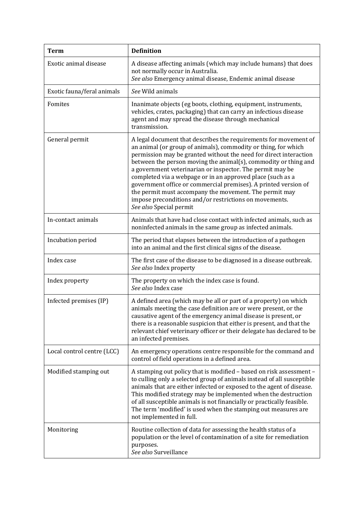| <b>Term</b>                | <b>Definition</b>                                                                                                                                                                                                                                                                                                                                                                                                                                                                                                                                                                                                       |
|----------------------------|-------------------------------------------------------------------------------------------------------------------------------------------------------------------------------------------------------------------------------------------------------------------------------------------------------------------------------------------------------------------------------------------------------------------------------------------------------------------------------------------------------------------------------------------------------------------------------------------------------------------------|
| Exotic animal disease      | A disease affecting animals (which may include humans) that does<br>not normally occur in Australia.<br>See also Emergency animal disease, Endemic animal disease                                                                                                                                                                                                                                                                                                                                                                                                                                                       |
| Exotic fauna/feral animals | See Wild animals                                                                                                                                                                                                                                                                                                                                                                                                                                                                                                                                                                                                        |
| Fomites                    | Inanimate objects (eg boots, clothing, equipment, instruments,<br>vehicles, crates, packaging) that can carry an infectious disease<br>agent and may spread the disease through mechanical<br>transmission.                                                                                                                                                                                                                                                                                                                                                                                                             |
| General permit             | A legal document that describes the requirements for movement of<br>an animal (or group of animals), commodity or thing, for which<br>permission may be granted without the need for direct interaction<br>between the person moving the animal(s), commodity or thing and<br>a government veterinarian or inspector. The permit may be<br>completed via a webpage or in an approved place (such as a<br>government office or commercial premises). A printed version of<br>the permit must accompany the movement. The permit may<br>impose preconditions and/or restrictions on movements.<br>See also Special permit |
| In-contact animals         | Animals that have had close contact with infected animals, such as<br>noninfected animals in the same group as infected animals.                                                                                                                                                                                                                                                                                                                                                                                                                                                                                        |
| Incubation period          | The period that elapses between the introduction of a pathogen<br>into an animal and the first clinical signs of the disease.                                                                                                                                                                                                                                                                                                                                                                                                                                                                                           |
| Index case                 | The first case of the disease to be diagnosed in a disease outbreak.<br>See also Index property                                                                                                                                                                                                                                                                                                                                                                                                                                                                                                                         |
| Index property             | The property on which the index case is found.<br>See also Index case                                                                                                                                                                                                                                                                                                                                                                                                                                                                                                                                                   |
| Infected premises (IP)     | A defined area (which may be all or part of a property) on which<br>animals meeting the case definition are or were present, or the<br>causative agent of the emergency animal disease is present, or<br>there is a reasonable suspicion that either is present, and that the<br>relevant chief veterinary officer or their delegate has declared to be<br>an infected premises.                                                                                                                                                                                                                                        |
| Local control centre (LCC) | An emergency operations centre responsible for the command and<br>control of field operations in a defined area.                                                                                                                                                                                                                                                                                                                                                                                                                                                                                                        |
| Modified stamping out      | A stamping out policy that is modified - based on risk assessment -<br>to culling only a selected group of animals instead of all susceptible<br>animals that are either infected or exposed to the agent of disease.<br>This modified strategy may be implemented when the destruction<br>of all susceptible animals is not financially or practically feasible.<br>The term 'modified' is used when the stamping out measures are<br>not implemented in full.                                                                                                                                                         |
| Monitoring                 | Routine collection of data for assessing the health status of a<br>population or the level of contamination of a site for remediation<br>purposes.<br>See also Surveillance                                                                                                                                                                                                                                                                                                                                                                                                                                             |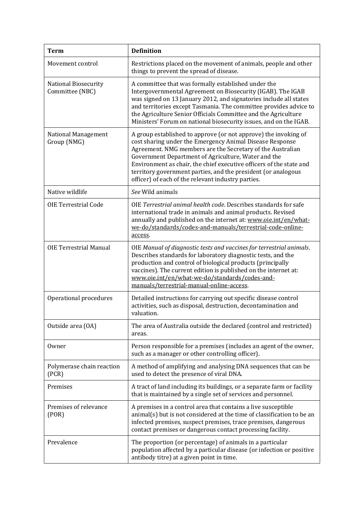| <b>Term</b>                                    | <b>Definition</b>                                                                                                                                                                                                                                                                                                                                                                                                                              |
|------------------------------------------------|------------------------------------------------------------------------------------------------------------------------------------------------------------------------------------------------------------------------------------------------------------------------------------------------------------------------------------------------------------------------------------------------------------------------------------------------|
| Movement control                               | Restrictions placed on the movement of animals, people and other<br>things to prevent the spread of disease.                                                                                                                                                                                                                                                                                                                                   |
| <b>National Biosecurity</b><br>Committee (NBC) | A committee that was formally established under the<br>Intergovernmental Agreement on Biosecurity (IGAB). The IGAB<br>was signed on 13 January 2012, and signatories include all states<br>and territories except Tasmania. The committee provides advice to<br>the Agriculture Senior Officials Committee and the Agriculture<br>Ministers' Forum on national biosecurity issues, and on the IGAB.                                            |
| National Management<br>Group (NMG)             | A group established to approve (or not approve) the invoking of<br>cost sharing under the Emergency Animal Disease Response<br>Agreement. NMG members are the Secretary of the Australian<br>Government Department of Agriculture, Water and the<br>Environment as chair, the chief executive officers of the state and<br>territory government parties, and the president (or analogous<br>officer) of each of the relevant industry parties. |
| Native wildlife                                | See Wild animals                                                                                                                                                                                                                                                                                                                                                                                                                               |
| <b>OIE Terrestrial Code</b>                    | OIE Terrestrial animal health code. Describes standards for safe<br>international trade in animals and animal products. Revised<br>annually and published on the internet at: www.oie.int/en/what-<br>we-do/standards/codes-and-manuals/terrestrial-code-online-<br>access.                                                                                                                                                                    |
| <b>OIE Terrestrial Manual</b>                  | OIE Manual of diagnostic tests and vaccines for terrestrial animals.<br>Describes standards for laboratory diagnostic tests, and the<br>production and control of biological products (principally<br>vaccines). The current edition is published on the internet at:<br>www.oie.int/en/what-we-do/standards/codes-and-<br>manuals/terrestrial-manual-online-access.                                                                           |
| Operational procedures                         | Detailed instructions for carrying out specific disease control<br>activities, such as disposal, destruction, decontamination and<br>valuation.                                                                                                                                                                                                                                                                                                |
| Outside area (OA)                              | The area of Australia outside the declared (control and restricted)<br>areas.                                                                                                                                                                                                                                                                                                                                                                  |
| Owner                                          | Person responsible for a premises (includes an agent of the owner,<br>such as a manager or other controlling officer).                                                                                                                                                                                                                                                                                                                         |
| Polymerase chain reaction<br>(PCR)             | A method of amplifying and analysing DNA sequences that can be<br>used to detect the presence of viral DNA.                                                                                                                                                                                                                                                                                                                                    |
| Premises                                       | A tract of land including its buildings, or a separate farm or facility<br>that is maintained by a single set of services and personnel.                                                                                                                                                                                                                                                                                                       |
| Premises of relevance<br>( POR)                | A premises in a control area that contains a live susceptible<br>animal(s) but is not considered at the time of classification to be an<br>infected premises, suspect premises, trace premises, dangerous<br>contact premises or dangerous contact processing facility.                                                                                                                                                                        |
| Prevalence                                     | The proportion (or percentage) of animals in a particular<br>population affected by a particular disease (or infection or positive<br>antibody titre) at a given point in time.                                                                                                                                                                                                                                                                |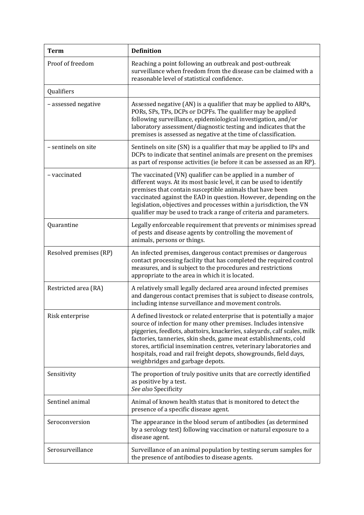| <b>Term</b>            | <b>Definition</b>                                                                                                                                                                                                                                                                                                                                                                                                                                                         |
|------------------------|---------------------------------------------------------------------------------------------------------------------------------------------------------------------------------------------------------------------------------------------------------------------------------------------------------------------------------------------------------------------------------------------------------------------------------------------------------------------------|
| Proof of freedom       | Reaching a point following an outbreak and post-outbreak<br>surveillance when freedom from the disease can be claimed with a<br>reasonable level of statistical confidence.                                                                                                                                                                                                                                                                                               |
| Qualifiers             |                                                                                                                                                                                                                                                                                                                                                                                                                                                                           |
| - assessed negative    | Assessed negative (AN) is a qualifier that may be applied to ARPs,<br>PORs, SPs, TPs, DCPs or DCPFs. The qualifier may be applied<br>following surveillance, epidemiological investigation, and/or<br>laboratory assessment/diagnostic testing and indicates that the<br>premises is assessed as negative at the time of classification.                                                                                                                                  |
| - sentinels on site    | Sentinels on site (SN) is a qualifier that may be applied to IPs and<br>DCPs to indicate that sentinel animals are present on the premises<br>as part of response activities (ie before it can be assessed as an RP).                                                                                                                                                                                                                                                     |
| - vaccinated           | The vaccinated (VN) qualifier can be applied in a number of<br>different ways. At its most basic level, it can be used to identify<br>premises that contain susceptible animals that have been<br>vaccinated against the EAD in question. However, depending on the<br>legislation, objectives and processes within a jurisdiction, the VN<br>qualifier may be used to track a range of criteria and parameters.                                                          |
| Quarantine             | Legally enforceable requirement that prevents or minimises spread<br>of pests and disease agents by controlling the movement of<br>animals, persons or things.                                                                                                                                                                                                                                                                                                            |
| Resolved premises (RP) | An infected premises, dangerous contact premises or dangerous<br>contact processing facility that has completed the required control<br>measures, and is subject to the procedures and restrictions<br>appropriate to the area in which it is located.                                                                                                                                                                                                                    |
| Restricted area (RA)   | A relatively small legally declared area around infected premises<br>and dangerous contact premises that is subject to disease controls,<br>including intense surveillance and movement controls.                                                                                                                                                                                                                                                                         |
| Risk enterprise        | A defined livestock or related enterprise that is potentially a major<br>source of infection for many other premises. Includes intensive<br>piggeries, feedlots, abattoirs, knackeries, saleyards, calf scales, milk<br>factories, tanneries, skin sheds, game meat establishments, cold<br>stores, artificial insemination centres, veterinary laboratories and<br>hospitals, road and rail freight depots, showgrounds, field days,<br>weighbridges and garbage depots. |
| Sensitivity            | The proportion of truly positive units that are correctly identified<br>as positive by a test.<br>See also Specificity                                                                                                                                                                                                                                                                                                                                                    |
| Sentinel animal        | Animal of known health status that is monitored to detect the<br>presence of a specific disease agent.                                                                                                                                                                                                                                                                                                                                                                    |
| Seroconversion         | The appearance in the blood serum of antibodies (as determined<br>by a serology test) following vaccination or natural exposure to a<br>disease agent.                                                                                                                                                                                                                                                                                                                    |
| Serosurveillance       | Surveillance of an animal population by testing serum samples for<br>the presence of antibodies to disease agents.                                                                                                                                                                                                                                                                                                                                                        |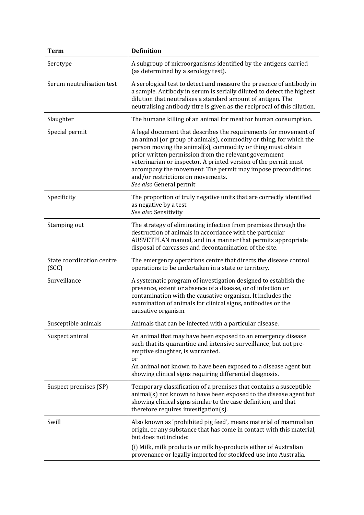| <b>Term</b>                        | <b>Definition</b>                                                                                                                                                                                                                                                                                                                                                                                                                                                |
|------------------------------------|------------------------------------------------------------------------------------------------------------------------------------------------------------------------------------------------------------------------------------------------------------------------------------------------------------------------------------------------------------------------------------------------------------------------------------------------------------------|
| Serotype                           | A subgroup of microorganisms identified by the antigens carried<br>(as determined by a serology test).                                                                                                                                                                                                                                                                                                                                                           |
| Serum neutralisation test          | A serological test to detect and measure the presence of antibody in<br>a sample. Antibody in serum is serially diluted to detect the highest<br>dilution that neutralises a standard amount of antigen. The<br>neutralising antibody titre is given as the reciprocal of this dilution.                                                                                                                                                                         |
| Slaughter                          | The humane killing of an animal for meat for human consumption.                                                                                                                                                                                                                                                                                                                                                                                                  |
| Special permit                     | A legal document that describes the requirements for movement of<br>an animal (or group of animals), commodity or thing, for which the<br>person moving the animal(s), commodity or thing must obtain<br>prior written permission from the relevant government<br>veterinarian or inspector. A printed version of the permit must<br>accompany the movement. The permit may impose preconditions<br>and/or restrictions on movements.<br>See also General permit |
| Specificity                        | The proportion of truly negative units that are correctly identified<br>as negative by a test.<br>See also Sensitivity                                                                                                                                                                                                                                                                                                                                           |
| Stamping out                       | The strategy of eliminating infection from premises through the<br>destruction of animals in accordance with the particular<br>AUSVETPLAN manual, and in a manner that permits appropriate<br>disposal of carcasses and decontamination of the site.                                                                                                                                                                                                             |
| State coordination centre<br>(SCC) | The emergency operations centre that directs the disease control<br>operations to be undertaken in a state or territory.                                                                                                                                                                                                                                                                                                                                         |
| Surveillance                       | A systematic program of investigation designed to establish the<br>presence, extent or absence of a disease, or of infection or<br>contamination with the causative organism. It includes the<br>examination of animals for clinical signs, antibodies or the<br>causative organism.                                                                                                                                                                             |
| Susceptible animals                | Animals that can be infected with a particular disease.                                                                                                                                                                                                                                                                                                                                                                                                          |
| Suspect animal                     | An animal that may have been exposed to an emergency disease<br>such that its quarantine and intensive surveillance, but not pre-<br>emptive slaughter, is warranted.<br>or<br>An animal not known to have been exposed to a disease agent but<br>showing clinical signs requiring differential diagnosis.                                                                                                                                                       |
| Suspect premises (SP)              | Temporary classification of a premises that contains a susceptible<br>animal(s) not known to have been exposed to the disease agent but<br>showing clinical signs similar to the case definition, and that<br>therefore requires investigation(s).                                                                                                                                                                                                               |
| Swill                              | Also known as 'prohibited pig feed', means material of mammalian<br>origin, or any substance that has come in contact with this material,<br>but does not include:<br>(i) Milk, milk products or milk by-products either of Australian<br>provenance or legally imported for stockfeed use into Australia.                                                                                                                                                       |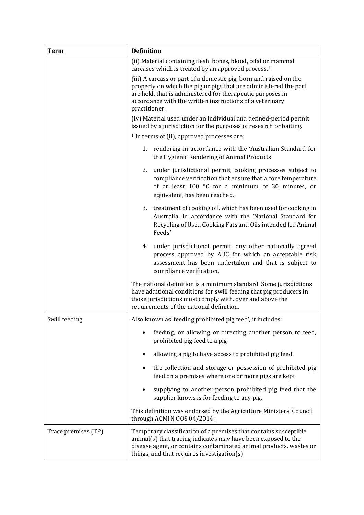| <b>Term</b>         | <b>Definition</b>                                                                                                                                                                                                                                                                |
|---------------------|----------------------------------------------------------------------------------------------------------------------------------------------------------------------------------------------------------------------------------------------------------------------------------|
|                     | (ii) Material containing flesh, bones, blood, offal or mammal<br>carcases which is treated by an approved process. <sup>1</sup>                                                                                                                                                  |
|                     | (iii) A carcass or part of a domestic pig, born and raised on the<br>property on which the pig or pigs that are administered the part<br>are held, that is administered for therapeutic purposes in<br>accordance with the written instructions of a veterinary<br>practitioner. |
|                     | (iv) Material used under an individual and defined-period permit<br>issued by a jurisdiction for the purposes of research or baiting.                                                                                                                                            |
|                     | <sup>1</sup> In terms of (ii), approved processes are:                                                                                                                                                                                                                           |
|                     | 1. rendering in accordance with the 'Australian Standard for<br>the Hygienic Rendering of Animal Products'                                                                                                                                                                       |
|                     | 2. under jurisdictional permit, cooking processes subject to<br>compliance verification that ensure that a core temperature<br>of at least 100 °C for a minimum of 30 minutes, or<br>equivalent, has been reached.                                                               |
|                     | 3. treatment of cooking oil, which has been used for cooking in<br>Australia, in accordance with the 'National Standard for<br>Recycling of Used Cooking Fats and Oils intended for Animal<br>Feeds'                                                                             |
|                     | 4.<br>under jurisdictional permit, any other nationally agreed<br>process approved by AHC for which an acceptable risk<br>assessment has been undertaken and that is subject to<br>compliance verification.                                                                      |
|                     | The national definition is a minimum standard. Some jurisdictions<br>have additional conditions for swill feeding that pig producers in<br>those jurisdictions must comply with, over and above the<br>requirements of the national definition.                                  |
| Swill feeding       | Also known as 'feeding prohibited pig feed', it includes:                                                                                                                                                                                                                        |
|                     | feeding, or allowing or directing another person to feed,<br>prohibited pig feed to a pig                                                                                                                                                                                        |
|                     | allowing a pig to have access to prohibited pig feed                                                                                                                                                                                                                             |
|                     | the collection and storage or possession of prohibited pig<br>feed on a premises where one or more pigs are kept                                                                                                                                                                 |
|                     | supplying to another person prohibited pig feed that the<br>supplier knows is for feeding to any pig.                                                                                                                                                                            |
|                     | This definition was endorsed by the Agriculture Ministers' Council<br>through AGMIN OOS 04/2014.                                                                                                                                                                                 |
| Trace premises (TP) | Temporary classification of a premises that contains susceptible<br>animal(s) that tracing indicates may have been exposed to the<br>disease agent, or contains contaminated animal products, wastes or<br>things, and that requires investigation(s).                           |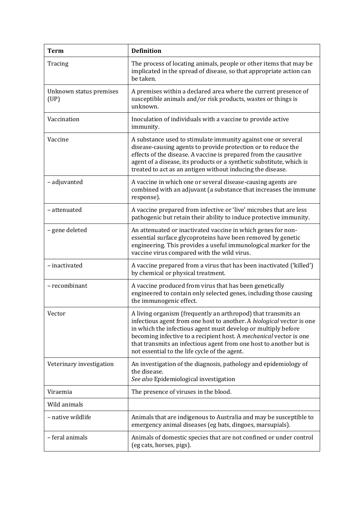| <b>Term</b>                     | <b>Definition</b>                                                                                                                                                                                                                                                                                                                                                                                    |
|---------------------------------|------------------------------------------------------------------------------------------------------------------------------------------------------------------------------------------------------------------------------------------------------------------------------------------------------------------------------------------------------------------------------------------------------|
| Tracing                         | The process of locating animals, people or other items that may be<br>implicated in the spread of disease, so that appropriate action can<br>be taken.                                                                                                                                                                                                                                               |
| Unknown status premises<br>(UP) | A premises within a declared area where the current presence of<br>susceptible animals and/or risk products, wastes or things is<br>unknown.                                                                                                                                                                                                                                                         |
| Vaccination                     | Inoculation of individuals with a vaccine to provide active<br>immunity.                                                                                                                                                                                                                                                                                                                             |
| Vaccine                         | A substance used to stimulate immunity against one or several<br>disease-causing agents to provide protection or to reduce the<br>effects of the disease. A vaccine is prepared from the causative<br>agent of a disease, its products or a synthetic substitute, which is<br>treated to act as an antigen without inducing the disease.                                                             |
| - adjuvanted                    | A vaccine in which one or several disease-causing agents are<br>combined with an adjuvant (a substance that increases the immune<br>response).                                                                                                                                                                                                                                                       |
| - attenuated                    | A vaccine prepared from infective or 'live' microbes that are less<br>pathogenic but retain their ability to induce protective immunity.                                                                                                                                                                                                                                                             |
| - gene deleted                  | An attenuated or inactivated vaccine in which genes for non-<br>essential surface glycoproteins have been removed by genetic<br>engineering. This provides a useful immunological marker for the<br>vaccine virus compared with the wild virus.                                                                                                                                                      |
| - inactivated                   | A vaccine prepared from a virus that has been inactivated ('killed')<br>by chemical or physical treatment.                                                                                                                                                                                                                                                                                           |
| - recombinant                   | A vaccine produced from virus that has been genetically<br>engineered to contain only selected genes, including those causing<br>the immunogenic effect.                                                                                                                                                                                                                                             |
| Vector                          | A living organism (frequently an arthropod) that transmits an<br>infectious agent from one host to another. A biological vector is one<br>in which the infectious agent must develop or multiply before<br>becoming infective to a recipient host. A mechanical vector is one<br>that transmits an infectious agent from one host to another but is<br>not essential to the life cycle of the agent. |
| Veterinary investigation        | An investigation of the diagnosis, pathology and epidemiology of<br>the disease.<br>See also Epidemiological investigation                                                                                                                                                                                                                                                                           |
| Viraemia                        | The presence of viruses in the blood.                                                                                                                                                                                                                                                                                                                                                                |
| Wild animals                    |                                                                                                                                                                                                                                                                                                                                                                                                      |
| - native wildlife               | Animals that are indigenous to Australia and may be susceptible to<br>emergency animal diseases (eg bats, dingoes, marsupials).                                                                                                                                                                                                                                                                      |
| - feral animals                 | Animals of domestic species that are not confined or under control<br>(eg cats, horses, pigs).                                                                                                                                                                                                                                                                                                       |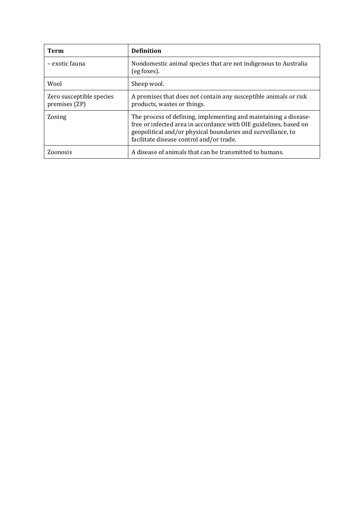| Term                                      | <b>Definition</b>                                                                                                                                                                                                                                 |
|-------------------------------------------|---------------------------------------------------------------------------------------------------------------------------------------------------------------------------------------------------------------------------------------------------|
| - exotic fauna                            | Nondomestic animal species that are not indigenous to Australia<br>(eg foxes).                                                                                                                                                                    |
| Wool                                      | Sheep wool.                                                                                                                                                                                                                                       |
| Zero susceptible species<br>premises (ZP) | A premises that does not contain any susceptible animals or risk<br>products, wastes or things.                                                                                                                                                   |
| Zoning                                    | The process of defining, implementing and maintaining a disease-<br>free or infected area in accordance with OIE guidelines, based on<br>geopolitical and/or physical boundaries and surveillance, to<br>facilitate disease control and/or trade. |
| Zoonosis                                  | A disease of animals that can be transmitted to humans.                                                                                                                                                                                           |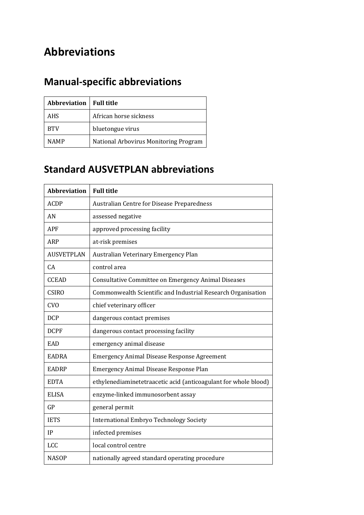# **Abbreviations**

# **Manual-specific abbreviations**

| <b>Abbreviation</b>   Full title |                                       |
|----------------------------------|---------------------------------------|
| AHS                              | African horse sickness                |
| <b>BTV</b>                       | bluetongue virus                      |
| <b>NAMP</b>                      | National Arbovirus Monitoring Program |

## **Standard AUSVETPLAN abbreviations**

| <b>Abbreviation</b> | <b>Full title</b>                                               |
|---------------------|-----------------------------------------------------------------|
| <b>ACDP</b>         | Australian Centre for Disease Preparedness                      |
| AN                  | assessed negative                                               |
| <b>APF</b>          | approved processing facility                                    |
| ARP                 | at-risk premises                                                |
| <b>AUSVETPLAN</b>   | Australian Veterinary Emergency Plan                            |
| CA                  | control area                                                    |
| <b>CCEAD</b>        | Consultative Committee on Emergency Animal Diseases             |
| <b>CSIRO</b>        | Commonwealth Scientific and Industrial Research Organisation    |
| <b>CVO</b>          | chief veterinary officer                                        |
| <b>DCP</b>          | dangerous contact premises                                      |
| <b>DCPF</b>         | dangerous contact processing facility                           |
| EAD                 | emergency animal disease                                        |
| <b>EADRA</b>        | <b>Emergency Animal Disease Response Agreement</b>              |
| <b>EADRP</b>        | <b>Emergency Animal Disease Response Plan</b>                   |
| <b>EDTA</b>         | ethylenediaminetetraacetic acid (anticoagulant for whole blood) |
| <b>ELISA</b>        | enzyme-linked immunosorbent assay                               |
| GP                  | general permit                                                  |
| <b>IETS</b>         | <b>International Embryo Technology Society</b>                  |
| IP                  | infected premises                                               |
| <b>LCC</b>          | local control centre                                            |
| <b>NASOP</b>        | nationally agreed standard operating procedure                  |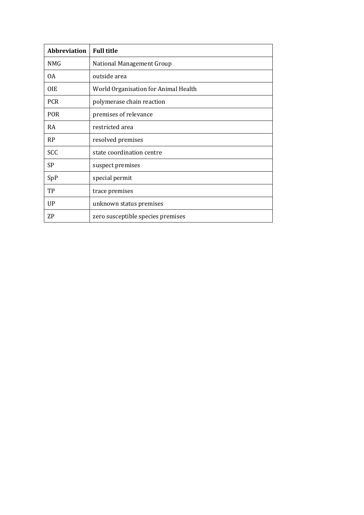| <b>Abbreviation</b> | <b>Full title</b>                    |
|---------------------|--------------------------------------|
| <b>NMG</b>          | <b>National Management Group</b>     |
| 0A                  | outside area                         |
| 0IE                 | World Organisation for Animal Health |
| <b>PCR</b>          | polymerase chain reaction            |
| <b>POR</b>          | premises of relevance                |
| <b>RA</b>           | restricted area                      |
| <b>RP</b>           | resolved premises                    |
| SCC                 | state coordination centre            |
| SP                  | suspect premises                     |
| SpP                 | special permit                       |
| TP                  | trace premises                       |
| <b>UP</b>           | unknown status premises              |
| ZP                  | zero susceptible species premises    |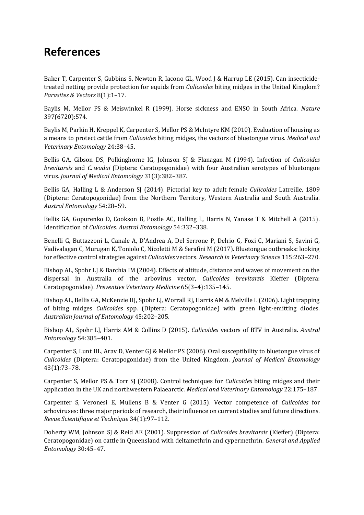## **References**

Baker T, Carpenter S, Gubbins S, Newton R, Iacono GL, Wood J & Harrup LE (2015). Can insecticidetreated netting provide protection for equids from *Culicoides* biting midges in the United Kingdom? *Parasites & Vectors* 8(1):1–17.

Baylis M, Mellor PS & Meiswinkel R (1999). Horse sickness and ENSO in South Africa. *Nature* 397(6720):574.

Baylis M, Parkin H, Kreppel K, Carpenter S, Mellor PS & McIntyre KM (2010). Evaluation of housing as a means to protect cattle from *Culicoides* biting midges, the vectors of bluetongue virus. *Medical and Veterinary Entomology* 24:38–45.

Bellis GA, Gibson DS, Polkinghorne IG, Johnson SJ & Flanagan M (1994). Infection of *Culicoides brevitarsis* and *C. wadai* (Diptera: Ceratopogonidae) with four Australian serotypes of bluetongue virus. *Journal of Medical Entomology* 31(3):382–387.

Bellis GA, Halling L & Anderson SJ (2014). Pictorial key to adult female *Culicoides* Latreille, 1809 (Diptera: Ceratopogonidae) from the Northern Territory, Western Australia and South Australia. *Austral Entomology* 54:28–59.

Bellis GA, Gopurenko D, Cookson B, Postle AC, Halling L, Harris N, Yanase T & Mitchell A (2015). Identification of *Culicoides*. *Austral Entomology* 54:332–338.

Benelli G, Buttazzoni L, Canale A, D'Andrea A, Del Serrone P, Delrio G, Foxi C, Mariani S, Savini G, Vadivalagan C, Murugan K, Toniolo C, Nicoletti M & Serafini M (2017). Bluetongue outbreaks: looking for effective control strategies against *Culicoides* vectors. *Research in Veterinary Science* 115:263–270.

Bishop AL, Spohr LJ & Barchia IM (2004). Effects of altitude, distance and waves of movement on the dispersal in Australia of the arbovirus vector, *Culicoides brevitarsis* Kieffer (Diptera: Ceratopogonidae). *Preventive Veterinary Medicine* 65(3–4):135–145.

Bishop AL, Bellis GA, McKenzie HJ, Spohr LJ, Worrall RJ, Harris AM & Melville L (2006). Light trapping of biting midges *Culicoides* spp. (Diptera: Ceratopogonidae) with green light-emitting diodes. *Australian Journal of Entomology* 45:202–205.

Bishop AL, Spohr LJ, Harris AM & Collins D (2015). *Culicoides* vectors of BTV in Australia. *Austral Entomology* 54:385–401.

Carpenter S, Lunt HL, Arav D, Venter GJ & Mellor PS (2006). Oral susceptibility to bluetongue virus of *Culicoides* (Diptera: Ceratopogonidae) from the United Kingdom. *Journal of Medical Entomology* 43(1):73–78.

Carpenter S, Mellor PS & Torr SJ (2008). Control techniques for *Culicoides* biting midges and their application in the UK and northwestern Palaearctic. *Medical and Veterinary Entomology* 22:175–187.

Carpenter S, Veronesi E, Mullens B & Venter G (2015). Vector competence of *Culicoides* for arboviruses: three major periods of research, their influence on current studies and future directions. *Revue Scientifique et Technique* 34(1):97–112.

Doherty WM, Johnson SJ & Reid AE (2001). Suppression of *Culicoides brevitarsis* (Kieffer) (Diptera: Ceratopogonidae) on cattle in Queensland with deltamethrin and cypermethrin*. General and Applied Entomology* 30:45–47.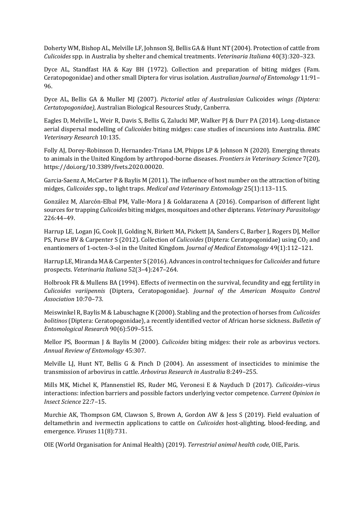Doherty WM, Bishop AL, Melville LF, Johnson SJ, Bellis GA & Hunt NT (2004). Protection of cattle from *Culicoides* spp. in Australia by shelter and chemical treatments. *Veterinaria Italiana* 40(3):320–323.

Dyce AL, Standfast HA & Kay BH (1972). Collection and preparation of biting midges (Fam. Ceratopogonidae) and other small Diptera for virus isolation. *Australian Journal of Entomology* 11:91– 96.

Dyce AL, Bellis GA & Muller MJ (2007). *Pictorial atlas of Australasian* Culicoides *wings (Diptera: Certatopogonidae)*, Australian Biological Resources Study, Canberra.

Eagles D, Melville L, Weir R, Davis S, Bellis G, Zalucki MP, Walker PJ & Durr PA (2014). Long-distance aerial dispersal modelling of *Culicoides* biting midges: case studies of incursions into Australia. *BMC Veterinary Research* 10:135.

Folly AJ, Dorey-Robinson D, Hernandez-Triana LM, Phipps LP & Johnson N (2020). Emerging threats to animals in the United Kingdom by arthropod-borne diseases. *Frontiers in Veterinary Science* 7(20), [https://doi.org/10.3389/fvets.2020.00020.](https://doi.org/10.3389/fvets.2020.00020)

Garcia‐Saenz A, McCarter P & Baylis M (2011). The influence of host number on the attraction of biting midges, *Culicoides* spp., to light traps. *Medical and Veterinary Entomology* 25(1):113–115.

González M, Alarcón-Elbal PM, Valle-Mora J & Goldarazena A (2016). Comparison of different light sources for trapping *Culicoides* biting midges, mosquitoes and other dipterans. *Veterinary Parasitology* 226:44–49.

Harrup LE, Logan JG, Cook JI, Golding N, Birkett MA, Pickett JA, Sanders C, Barber J, Rogers DJ, Mellor PS, Purse BV & Carpenter S (2012). Collection of *Culicoides* (Diptera: Ceratopogonidae) using CO<sup>2</sup> and enantiomers of 1-octen-3-ol in the United Kingdom. *Journal of Medical Entomology* 49(1):112–121.

Harrup LE, Miranda MA & Carpenter S (2016). Advances in control techniques for *Culicoides* and future prospects. *Veterinaria Italiana* 52(3–4):247–264.

Holbrook FR & Mullens BA (1994). Effects of ivermectin on the survival, fecundity and egg fertility in *Culicoides variipennis* (Diptera, Ceratopogonidae). *Journal of the American Mosquito Control Association* 10:70–73.

Meiswinkel R, Baylis M & Labuschagne K (2000). Stabling and the protection of horses from *Culicoides bolitinos* (Diptera: Ceratopogonidae), a recently identified vector of African horse sickness. *Bulletin of Entomological Research* 90(6):509–515.

Mellor PS, Boorman J & Baylis M (2000). *Culicoides* biting midges: their role as arbovirus vectors. *Annual Review of Entomology* 45:307.

Melville LJ, Hunt NT, Bellis G & Pinch D (2004). An assessment of insecticides to minimise the transmission of arbovirus in cattle. *Arbovirus Research in Australia* 8:249–255.

Mills MK, Michel K, Pfannenstiel RS, Ruder MG, Veronesi E & Nayduch D (2017). *Culicoides*–virus interactions: infection barriers and possible factors underlying vector competence. *Current Opinion in Insect Science* 22:7–15.

Murchie AK, Thompson GM, Clawson S, Brown A, Gordon AW & Jess S (2019). Field evaluation of deltamethrin and ivermectin applications to cattle on *Culicoides* host-alighting, blood-feeding, and emergence. *Viruses* 11(8):731.

OIE (World Organisation for Animal Health) (2019). *Terrestrial animal health code*, OIE, Paris.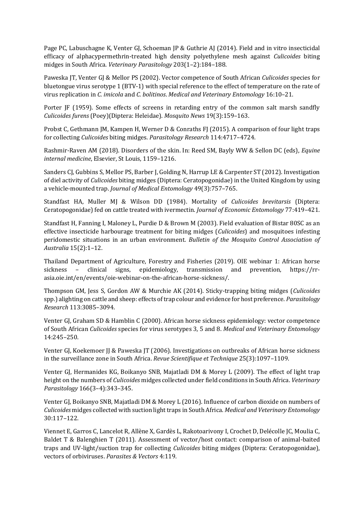Page PC, Labuschagne K, Venter GJ, Schoeman JP & Guthrie AJ (2014). Field and in vitro insecticidal efficacy of alphacypermethrin-treated high density polyethylene mesh against *Culicoides* biting midges in South Africa. *Veterinary Parasitology* 203(1–2):184–188.

Paweska JT, Venter GJ & Mellor PS (2002). Vector competence of South African *Culicoides* species for bluetongue virus serotype 1 (BTV-1) with special reference to the effect of temperature on the rate of virus replication in *C. imicola* and *C. bolitinos*. *Medical and Veterinary Entomology* 16:10–21.

Porter JF (1959). Some effects of screens in retarding entry of the common salt marsh sandfly *Culicoides furens* (Poey)(Diptera: Heleidae). *Mosquito News* 19(3):159–163.

Probst C, Gethmann JM, Kampen H, Werner D & Conraths FJ (2015). A comparison of four light traps for collecting *Culicoides* biting midges. *Parasitology Research* 114:4717–4724.

Rashmir-Raven AM (2018). Disorders of the skin. In: Reed SM, Bayly WW & Sellon DC (eds), *Equine internal medicine*, Elsevier, St Louis, 1159–1216.

Sanders CJ, Gubbins S, Mellor PS, Barber J, Golding N, Harrup LE & Carpenter ST (2012). Investigation of diel activity of *Culicoides* biting midges (Diptera: Ceratopogonidae) in the United Kingdom by using a vehicle-mounted trap. *Journal of Medical Entomology* 49(3):757–765.

Standfast HA, Muller MJ & Wilson DD (1984). Mortality of *Culicoides brevitarsis* (Diptera: Ceratopogonidae) fed on cattle treated with ivermectin. *Journal of Economic Entomology* 77:419–421.

Standfast H, Fanning I, Maloney L, Purdie D & Brown M (2003). Field evaluation of Bistar 80SC as an effective insecticide harbourage treatment for biting midges (*Culicoides*) and mosquitoes infesting peridomestic situations in an urban environment. *Bulletin of the Mosquito Control Association of Australia* 15(2):1–12.

Thailand Department of Agriculture, Forestry and Fisheries (2019). OIE webinar 1: African horse sickness – clinical signs, epidemiology, transmission and prevention, https://rrasia.oie.int/en/events/oie-webinar-on-the-african-horse-sickness/.

Thompson GM, Jess S, Gordon AW & Murchie AK (2014). Sticky-trapping biting midges (*Culicoides* spp.) alighting on cattle and sheep: effects of trap colour and evidence for host preference. *Parasitology Research* 113:3085–3094.

Venter GJ, Graham SD & Hamblin C (2000). African horse sickness epidemiology: vector competence of South African *Culicoides* species for virus serotypes 3, 5 and 8. *Medical and Veterinary Entomology* 14:245–250.

Venter GJ, Koekemoer JJ & Paweska JT (2006). Investigations on outbreaks of African horse sickness in the surveillance zone in South Africa. *Revue Scientifique et Technique* 25(3):1097–1109.

Venter GJ, Hermanides KG, Boikanyo SNB, Majatladi DM & Morey L (2009). The effect of light trap height on the numbers of *Culicoides* midges collected under field conditions in South Africa. *Veterinary Parasitology* 166(3–4):343–345.

Venter GJ, Boikanyo SNB, Majatladi DM & Morey L (2016). Influence of carbon dioxide on numbers of *Culicoides* midges collected with suction light traps in South Africa. *Medical and Veterinary Entomology* 30:117–122.

Viennet E, Garros C, Lancelot R, Allène X, Gardès L, Rakotoarivony I, Crochet D, Delécolle JC, Moulia C, Baldet T & Balenghien T (2011). Assessment of vector/host contact: comparison of animal-baited traps and UV-light/suction trap for collecting *Culicoides* biting midges (Diptera: Ceratopogonidae), vectors of orbiviruses. *Parasites & Vectors* 4:119.